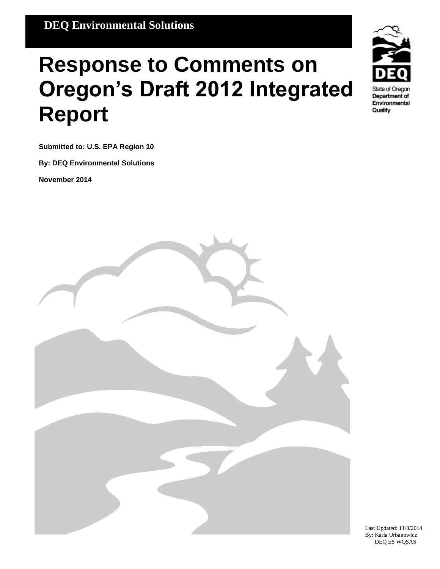# **Response to Comments on Oregon's Draft 2012 Integrated Report**



**Submitted to: U.S. EPA Region 10**

**By: DEQ Environmental Solutions**

**November 2014**



Last Updated: 11/3/2014 By: Karla Urbanowicz DEQ ES WQSAS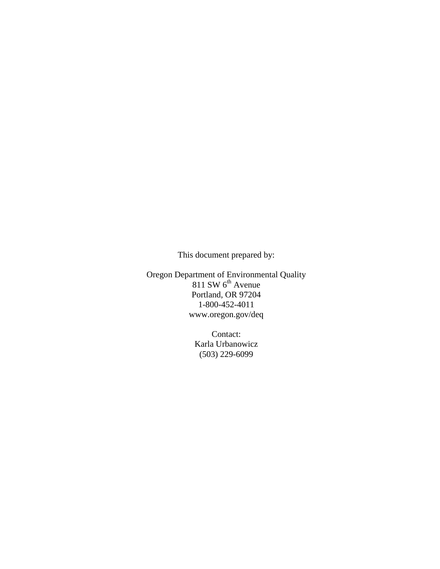This document prepared by:

Oregon Department of Environmental Quality  $811$  SW  $6<sup>th</sup>$  Avenue Portland, OR 97204 1-800-452-4011 www.oregon.gov/deq

> Contact: Karla Urbanowicz (503) 229-6099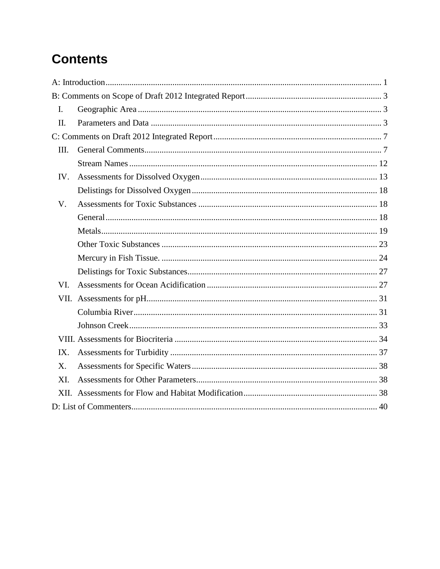# **Contents**

| $\mathbf{I}$ . |  |
|----------------|--|
| II.            |  |
|                |  |
| III.           |  |
|                |  |
| IV.            |  |
|                |  |
| V.             |  |
|                |  |
|                |  |
|                |  |
|                |  |
|                |  |
| VI.            |  |
|                |  |
|                |  |
|                |  |
|                |  |
| IX.            |  |
| X.             |  |
| XI.            |  |
|                |  |
|                |  |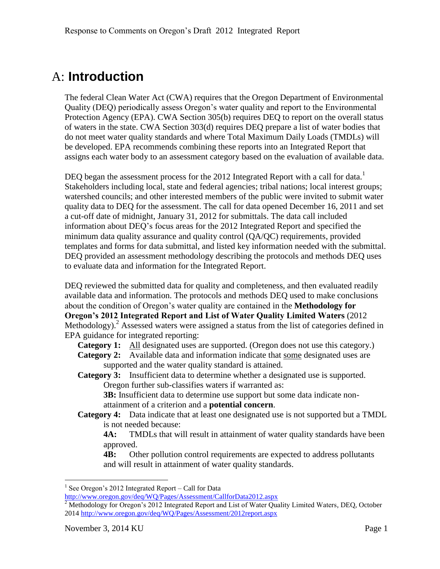### <span id="page-3-0"></span>A: **Introduction**

The federal Clean Water Act (CWA) requires that the Oregon Department of Environmental Quality (DEQ) periodically assess Oregon's water quality and report to the Environmental Protection Agency (EPA). CWA Section 305(b) requires DEQ to report on the overall status of waters in the state. CWA Section 303(d) requires DEQ prepare a list of water bodies that do not meet water quality standards and where Total Maximum Daily Loads (TMDLs) will be developed. EPA recommends combining these reports into an Integrated Report that assigns each water body to an assessment category based on the evaluation of available data.

DEQ began the assessment process for the 2012 Integrated Report with a call for data.<sup>1</sup> Stakeholders including local, state and federal agencies; tribal nations; local interest groups; watershed councils; and other interested members of the public were invited to submit water quality data to DEQ for the assessment. The call for data opened December 16, 2011 and set a cut-off date of midnight, January 31, 2012 for submittals. The data call included information about DEQ's focus areas for the 2012 Integrated Report and specified the minimum data quality assurance and quality control (QA/QC) requirements, provided templates and forms for data submittal, and listed key information needed with the submittal. DEQ provided an assessment methodology describing the protocols and methods DEQ uses to evaluate data and information for the Integrated Report.

DEQ reviewed the submitted data for quality and completeness, and then evaluated readily available data and information. The protocols and methods DEQ used to make conclusions about the condition of Oregon's water quality are contained in the **Methodology for Oregon's 2012 Integrated Report and List of Water Quality Limited Waters** (2012 Methodology).<sup>2</sup> Assessed waters were assigned a status from the list of categories defined in EPA guidance for integrated reporting:

**Category 1:** All designated uses are supported. (Oregon does not use this category.)

**Category 2:** Available data and information indicate that some designated uses are supported and the water quality standard is attained.

**Category 3:** Insufficient data to determine whether a designated use is supported. Oregon further sub-classifies waters if warranted as:

**3B:** Insufficient data to determine use support but some data indicate nonattainment of a criterion and a **potential concern**.

**Category 4:** Data indicate that at least one designated use is not supported but a TMDL is not needed because:

**4A:** TMDLs that will result in attainment of water quality standards have been approved.

**4B:** Other pollution control requirements are expected to address pollutants and will result in attainment of water quality standards.

<sup>&</sup>lt;sup>1</sup> See Oregon's 2012 Integrated Report – Call for Data

<http://www.oregon.gov/deq/WQ/Pages/Assessment/CallforData2012.aspx>

 $2^2$  Methodology for Oregon's 2012 Integrated Report and List of Water Quality Limited Waters, DEQ, October 201[4 http://www.oregon.gov/deq/WQ/Pages/Assessment/2012report.aspx](http://www.oregon.gov/deq/WQ/Pages/Assessment/2012report.aspx)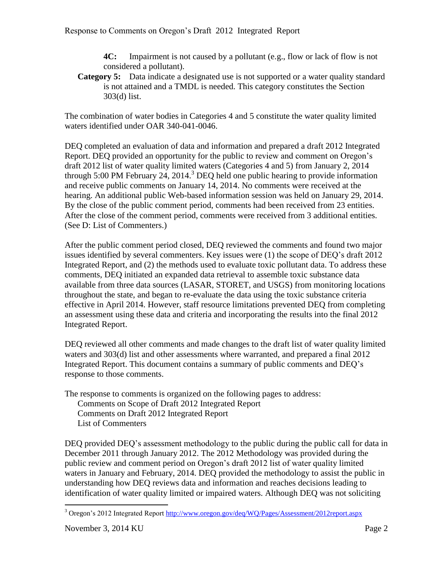**4C:** Impairment is not caused by a pollutant (e.g., flow or lack of flow is not considered a pollutant).

**Category 5:** Data indicate a designated use is not supported or a water quality standard is not attained and a TMDL is needed. This category constitutes the Section 303(d) list.

The combination of water bodies in Categories 4 and 5 constitute the water quality limited waters identified under OAR 340-041-0046.

DEQ completed an evaluation of data and information and prepared a draft 2012 Integrated Report. DEQ provided an opportunity for the public to review and comment on Oregon's draft 2012 list of water quality limited waters (Categories 4 and 5) from January 2, 2014 through 5:00 PM February 24, 2014. <sup>3</sup> DEQ held one public hearing to provide information and receive public comments on January 14, 2014. No comments were received at the hearing. An additional public Web-based information session was held on January 29, 2014. By the close of the public comment period, comments had been received from 23 entities. After the close of the comment period, comments were received from 3 additional entities. (See D: List of Commenters.)

After the public comment period closed, DEQ reviewed the comments and found two major issues identified by several commenters. Key issues were (1) the scope of DEQ's draft 2012 Integrated Report, and (2) the methods used to evaluate toxic pollutant data. To address these comments, DEQ initiated an expanded data retrieval to assemble toxic substance data available from three data sources (LASAR, STORET, and USGS) from monitoring locations throughout the state, and began to re-evaluate the data using the toxic substance criteria effective in April 2014. However, staff resource limitations prevented DEQ from completing an assessment using these data and criteria and incorporating the results into the final 2012 Integrated Report.

DEQ reviewed all other comments and made changes to the draft list of water quality limited waters and 303(d) list and other assessments where warranted, and prepared a final 2012 Integrated Report. This document contains a summary of public comments and DEQ's response to those comments.

The response to comments is organized on the following pages to address: Comments on Scope of Draft 2012 Integrated Report

Comments on Draft 2012 Integrated Report

List of Commenters

DEQ provided DEQ's assessment methodology to the public during the public call for data in December 2011 through January 2012. The 2012 Methodology was provided during the public review and comment period on Oregon's draft 2012 list of water quality limited waters in January and February, 2014. DEQ provided the methodology to assist the public in understanding how DEQ reviews data and information and reaches decisions leading to identification of water quality limited or impaired waters. Although DEQ was not soliciting

<sup>3</sup> Oregon's 2012 Integrated Repor[t http://www.oregon.gov/deq/WQ/Pages/Assessment/2012report.aspx](http://www.oregon.gov/deq/WQ/Pages/Assessment/2012report.aspx)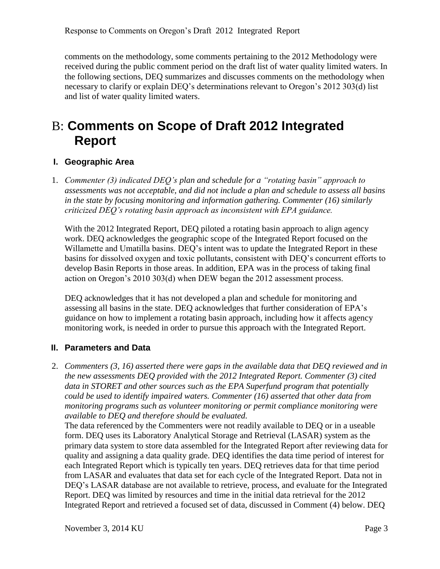comments on the methodology, some comments pertaining to the 2012 Methodology were received during the public comment period on the draft list of water quality limited waters. In the following sections, DEQ summarizes and discusses comments on the methodology when necessary to clarify or explain DEQ's determinations relevant to Oregon's 2012 303(d) list and list of water quality limited waters.

## <span id="page-5-0"></span>B: **Comments on Scope of Draft 2012 Integrated Report**

#### <span id="page-5-1"></span>**I. Geographic Area**

1. *Commenter (3) indicated DEQ's plan and schedule for a "rotating basin" approach to assessments was not acceptable, and did not include a plan and schedule to assess all basins in the state by focusing monitoring and information gathering. Commenter (16) similarly criticized DEQ's rotating basin approach as inconsistent with EPA guidance.*

With the 2012 Integrated Report, DEQ piloted a rotating basin approach to align agency work. DEQ acknowledges the geographic scope of the Integrated Report focused on the Willamette and Umatilla basins. DEQ's intent was to update the Integrated Report in these basins for dissolved oxygen and toxic pollutants, consistent with DEQ's concurrent efforts to develop Basin Reports in those areas. In addition, EPA was in the process of taking final action on Oregon's 2010 303(d) when DEW began the 2012 assessment process.

DEQ acknowledges that it has not developed a plan and schedule for monitoring and assessing all basins in the state. DEQ acknowledges that further consideration of EPA's guidance on how to implement a rotating basin approach, including how it affects agency monitoring work, is needed in order to pursue this approach with the Integrated Report.

#### <span id="page-5-2"></span>**II. Parameters and Data**

2. *Commenters (3, 16) asserted there were gaps in the available data that DEQ reviewed and in the new assessments DEQ provided with the 2012 Integrated Report. Commenter (3) cited data in STORET and other sources such as the EPA Superfund program that potentially could be used to identify impaired waters. Commenter (16) asserted that other data from monitoring programs such as volunteer monitoring or permit compliance monitoring were available to DEQ and therefore should be evaluated.*

The data referenced by the Commenters were not readily available to DEQ or in a useable form. DEQ uses its Laboratory Analytical Storage and Retrieval (LASAR) system as the primary data system to store data assembled for the Integrated Report after reviewing data for quality and assigning a data quality grade. DEQ identifies the data time period of interest for each Integrated Report which is typically ten years. DEQ retrieves data for that time period from LASAR and evaluates that data set for each cycle of the Integrated Report. Data not in DEQ's LASAR database are not available to retrieve, process, and evaluate for the Integrated Report. DEQ was limited by resources and time in the initial data retrieval for the 2012 Integrated Report and retrieved a focused set of data, discussed in Comment (4) below. DEQ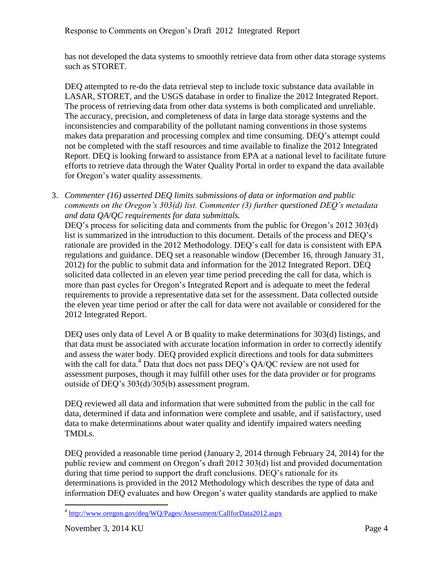has not developed the data systems to smoothly retrieve data from other data storage systems such as STORET.

DEQ attempted to re-do the data retrieval step to include toxic substance data available in LASAR, STORET, and the USGS database in order to finalize the 2012 Integrated Report. The process of retrieving data from other data systems is both complicated and unreliable. The accuracy, precision, and completeness of data in large data storage systems and the inconsistencies and comparability of the pollutant naming conventions in those systems makes data preparation and processing complex and time consuming. DEQ's attempt could not be completed with the staff resources and time available to finalize the 2012 Integrated Report. DEQ is looking forward to assistance from EPA at a national level to facilitate future efforts to retrieve data through the Water Quality Portal in order to expand the data available for Oregon's water quality assessments.

3. *Commenter (16) asserted DEQ limits submissions of data or information and public comments on the Oregon's 303(d) list. Commenter (3) further questioned DEQ's metadata and data QA/QC requirements for data submittals.*

DEQ's process for soliciting data and comments from the public for Oregon's 2012 303(d) list is summarized in the introduction to this document. Details of the process and DEQ's rationale are provided in the 2012 Methodology. DEQ's call for data is consistent with EPA regulations and guidance. DEQ set a reasonable window (December 16, through January 31, 2012) for the public to submit data and information for the 2012 Integrated Report. DEQ solicited data collected in an eleven year time period preceding the call for data, which is more than past cycles for Oregon's Integrated Report and is adequate to meet the federal requirements to provide a representative data set for the assessment. Data collected outside the eleven year time period or after the call for data were not available or considered for the 2012 Integrated Report.

DEQ uses only data of Level A or B quality to make determinations for 303(d) listings, and that data must be associated with accurate location information in order to correctly identify and assess the water body. DEQ provided explicit directions and tools for data submitters with the call for data.<sup>4</sup> Data that does not pass DEQ's QA/QC review are not used for assessment purposes, though it may fulfill other uses for the data provider or for programs outside of DEQ's 303(d)/305(b) assessment program.

DEQ reviewed all data and information that were submitted from the public in the call for data, determined if data and information were complete and usable, and if satisfactory, used data to make determinations about water quality and identify impaired waters needing TMDLs.

DEQ provided a reasonable time period (January 2, 2014 through February 24, 2014) for the public review and comment on Oregon's draft 2012 303(d) list and provided documentation during that time period to support the draft conclusions. DEQ's rationale for its determinations is provided in the 2012 Methodology which describes the type of data and information DEQ evaluates and how Oregon's water quality standards are applied to make

 $\overline{a}$ <sup>4</sup> <http://www.oregon.gov/deq/WQ/Pages/Assessment/CallforData2012.aspx>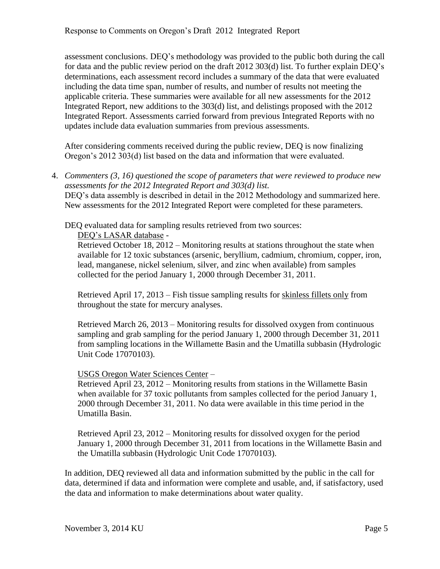assessment conclusions. DEQ's methodology was provided to the public both during the call for data and the public review period on the draft 2012 303(d) list. To further explain DEQ's determinations, each assessment record includes a summary of the data that were evaluated including the data time span, number of results, and number of results not meeting the applicable criteria. These summaries were available for all new assessments for the 2012 Integrated Report, new additions to the 303(d) list, and delistings proposed with the 2012 Integrated Report. Assessments carried forward from previous Integrated Reports with no updates include data evaluation summaries from previous assessments.

After considering comments received during the public review, DEQ is now finalizing Oregon's 2012 303(d) list based on the data and information that were evaluated.

4. *Commenters (3, 16) questioned the scope of parameters that were reviewed to produce new assessments for the 2012 Integrated Report and 303(d) list.* DEQ's data assembly is described in detail in the 2012 Methodology and summarized here. New assessments for the 2012 Integrated Report were completed for these parameters.

DEQ evaluated data for sampling results retrieved from two sources:

#### DEQ's LASAR database -

Retrieved October 18, 2012 – Monitoring results at stations throughout the state when available for 12 toxic substances (arsenic, beryllium, cadmium, chromium, copper, iron, lead, manganese, nickel selenium, silver, and zinc when available) from samples collected for the period January 1, 2000 through December 31, 2011.

Retrieved April 17, 2013 – Fish tissue sampling results for skinless fillets only from throughout the state for mercury analyses.

Retrieved March 26, 2013 – Monitoring results for dissolved oxygen from continuous sampling and grab sampling for the period January 1, 2000 through December 31, 2011 from sampling locations in the Willamette Basin and the Umatilla subbasin (Hydrologic Unit Code 17070103).

#### USGS Oregon Water Sciences Center –

Retrieved April 23, 2012 – Monitoring results from stations in the Willamette Basin when available for 37 toxic pollutants from samples collected for the period January 1, 2000 through December 31, 2011. No data were available in this time period in the Umatilla Basin.

Retrieved April 23, 2012 – Monitoring results for dissolved oxygen for the period January 1, 2000 through December 31, 2011 from locations in the Willamette Basin and the Umatilla subbasin (Hydrologic Unit Code 17070103).

In addition, DEQ reviewed all data and information submitted by the public in the call for data, determined if data and information were complete and usable, and, if satisfactory, used the data and information to make determinations about water quality.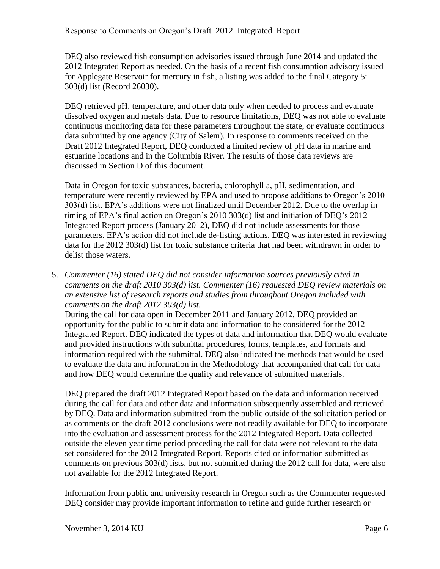DEQ also reviewed fish consumption advisories issued through June 2014 and updated the 2012 Integrated Report as needed. On the basis of a recent fish consumption advisory issued for Applegate Reservoir for mercury in fish, a listing was added to the final Category 5: 303(d) list (Record 26030).

DEQ retrieved pH, temperature, and other data only when needed to process and evaluate dissolved oxygen and metals data. Due to resource limitations, DEQ was not able to evaluate continuous monitoring data for these parameters throughout the state, or evaluate continuous data submitted by one agency (City of Salem). In response to comments received on the Draft 2012 Integrated Report, DEQ conducted a limited review of pH data in marine and estuarine locations and in the Columbia River. The results of those data reviews are discussed in Section D of this document.

Data in Oregon for toxic substances, bacteria, chlorophyll a, pH, sedimentation, and temperature were recently reviewed by EPA and used to propose additions to Oregon's 2010 303(d) list. EPA's additions were not finalized until December 2012. Due to the overlap in timing of EPA's final action on Oregon's 2010 303(d) list and initiation of DEQ's 2012 Integrated Report process (January 2012), DEQ did not include assessments for those parameters. EPA's action did not include de-listing actions. DEQ was interested in reviewing data for the 2012 303(d) list for toxic substance criteria that had been withdrawn in order to delist those waters.

5. *Commenter (16) stated DEQ did not consider information sources previously cited in comments on the draft 2010 303(d) list. Commenter (16) requested DEQ review materials on an extensive list of research reports and studies from throughout Oregon included with comments on the draft 2012 303(d) list.*

During the call for data open in December 2011 and January 2012, DEQ provided an opportunity for the public to submit data and information to be considered for the 2012 Integrated Report. DEQ indicated the types of data and information that DEQ would evaluate and provided instructions with submittal procedures, forms, templates, and formats and information required with the submittal. DEQ also indicated the methods that would be used to evaluate the data and information in the Methodology that accompanied that call for data and how DEQ would determine the quality and relevance of submitted materials.

DEQ prepared the draft 2012 Integrated Report based on the data and information received during the call for data and other data and information subsequently assembled and retrieved by DEQ. Data and information submitted from the public outside of the solicitation period or as comments on the draft 2012 conclusions were not readily available for DEQ to incorporate into the evaluation and assessment process for the 2012 Integrated Report. Data collected outside the eleven year time period preceding the call for data were not relevant to the data set considered for the 2012 Integrated Report. Reports cited or information submitted as comments on previous 303(d) lists, but not submitted during the 2012 call for data, were also not available for the 2012 Integrated Report.

Information from public and university research in Oregon such as the Commenter requested DEQ consider may provide important information to refine and guide further research or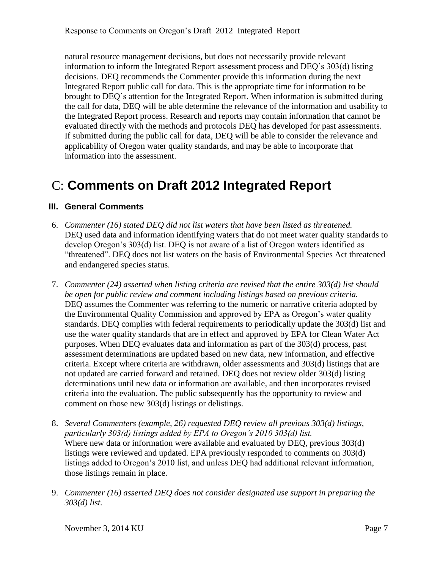natural resource management decisions, but does not necessarily provide relevant information to inform the Integrated Report assessment process and DEQ's 303(d) listing decisions. DEQ recommends the Commenter provide this information during the next Integrated Report public call for data. This is the appropriate time for information to be brought to DEQ's attention for the Integrated Report. When information is submitted during the call for data, DEQ will be able determine the relevance of the information and usability to the Integrated Report process. Research and reports may contain information that cannot be evaluated directly with the methods and protocols DEQ has developed for past assessments. If submitted during the public call for data, DEQ will be able to consider the relevance and applicability of Oregon water quality standards, and may be able to incorporate that information into the assessment.

# <span id="page-9-0"></span>C: **Comments on Draft 2012 Integrated Report**

#### <span id="page-9-1"></span>**III. General Comments**

- 6. *Commenter (16) stated DEQ did not list waters that have been listed as threatened.* DEQ used data and information identifying waters that do not meet water quality standards to develop Oregon's 303(d) list. DEQ is not aware of a list of Oregon waters identified as "threatened". DEQ does not list waters on the basis of Environmental Species Act threatened and endangered species status.
- 7. *Commenter (24) asserted when listing criteria are revised that the entire 303(d) list should be open for public review and comment including listings based on previous criteria.* DEQ assumes the Commenter was referring to the numeric or narrative criteria adopted by the Environmental Quality Commission and approved by EPA as Oregon's water quality standards. DEQ complies with federal requirements to periodically update the 303(d) list and use the water quality standards that are in effect and approved by EPA for Clean Water Act purposes. When DEQ evaluates data and information as part of the 303(d) process, past assessment determinations are updated based on new data, new information, and effective criteria. Except where criteria are withdrawn, older assessments and 303(d) listings that are not updated are carried forward and retained. DEQ does not review older 303(d) listing determinations until new data or information are available, and then incorporates revised criteria into the evaluation. The public subsequently has the opportunity to review and comment on those new 303(d) listings or delistings.
- 8. *Several Commenters (example, 26) requested DEQ review all previous 303(d) listings, particularly 303(d) listings added by EPA to Oregon's 2010 303(d) list.* Where new data or information were available and evaluated by DEQ, previous 303(d) listings were reviewed and updated. EPA previously responded to comments on 303(d) listings added to Oregon's 2010 list, and unless DEQ had additional relevant information, those listings remain in place.
- 9. *Commenter (16) asserted DEQ does not consider designated use support in preparing the 303(d) list.*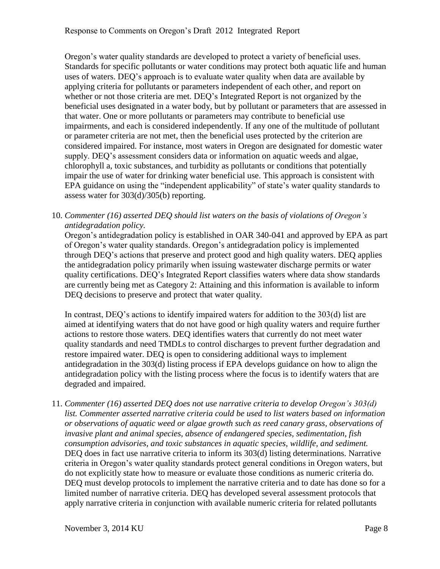Oregon's water quality standards are developed to protect a variety of beneficial uses. Standards for specific pollutants or water conditions may protect both aquatic life and human uses of waters. DEQ's approach is to evaluate water quality when data are available by applying criteria for pollutants or parameters independent of each other, and report on whether or not those criteria are met. DEQ's Integrated Report is not organized by the beneficial uses designated in a water body, but by pollutant or parameters that are assessed in that water. One or more pollutants or parameters may contribute to beneficial use impairments, and each is considered independently. If any one of the multitude of pollutant or parameter criteria are not met, then the beneficial uses protected by the criterion are considered impaired. For instance, most waters in Oregon are designated for domestic water supply. DEQ's assessment considers data or information on aquatic weeds and algae, chlorophyll a, toxic substances, and turbidity as pollutants or conditions that potentially impair the use of water for drinking water beneficial use. This approach is consistent with EPA guidance on using the "independent applicability" of state's water quality standards to assess water for 303(d)/305(b) reporting.

10. *Commenter (16) asserted DEQ should list waters on the basis of violations of Oregon's antidegradation policy.*

Oregon's antidegradation policy is established in OAR 340-041 and approved by EPA as part of Oregon's water quality standards. Oregon's antidegradation policy is implemented through DEQ's actions that preserve and protect good and high quality waters. DEQ applies the antidegradation policy primarily when issuing wastewater discharge permits or water quality certifications. DEQ's Integrated Report classifies waters where data show standards are currently being met as Category 2: Attaining and this information is available to inform DEQ decisions to preserve and protect that water quality.

In contrast, DEQ's actions to identify impaired waters for addition to the 303(d) list are aimed at identifying waters that do not have good or high quality waters and require further actions to restore those waters. DEQ identifies waters that currently do not meet water quality standards and need TMDLs to control discharges to prevent further degradation and restore impaired water. DEQ is open to considering additional ways to implement antidegradation in the 303(d) listing process if EPA develops guidance on how to align the antidegradation policy with the listing process where the focus is to identify waters that are degraded and impaired.

11. *Commenter (16) asserted DEQ does not use narrative criteria to develop Oregon's 303(d) list. Commenter asserted narrative criteria could be used to list waters based on information or observations of aquatic weed or algae growth such as reed canary grass, observations of invasive plant and animal species, absence of endangered species, sedimentation, fish consumption advisories, and toxic substances in aquatic species, wildlife, and sediment.* DEQ does in fact use narrative criteria to inform its 303(d) listing determinations. Narrative criteria in Oregon's water quality standards protect general conditions in Oregon waters, but do not explicitly state how to measure or evaluate those conditions as numeric criteria do. DEQ must develop protocols to implement the narrative criteria and to date has done so for a limited number of narrative criteria. DEQ has developed several assessment protocols that apply narrative criteria in conjunction with available numeric criteria for related pollutants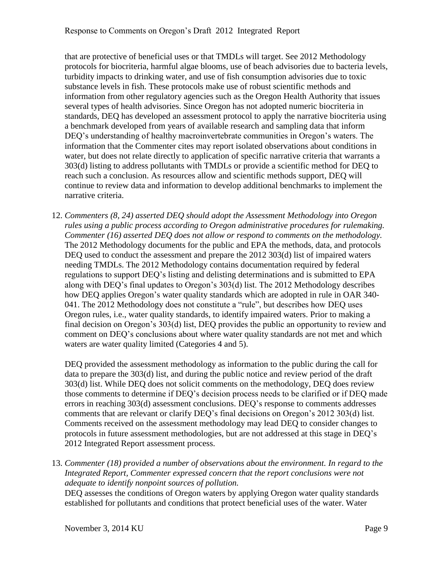that are protective of beneficial uses or that TMDLs will target. See 2012 Methodology protocols for biocriteria, harmful algae blooms, use of beach advisories due to bacteria levels, turbidity impacts to drinking water, and use of fish consumption advisories due to toxic substance levels in fish. These protocols make use of robust scientific methods and information from other regulatory agencies such as the Oregon Health Authority that issues several types of health advisories. Since Oregon has not adopted numeric biocriteria in standards, DEQ has developed an assessment protocol to apply the narrative biocriteria using a benchmark developed from years of available research and sampling data that inform DEQ's understanding of healthy macroinvertebrate communities in Oregon's waters. The information that the Commenter cites may report isolated observations about conditions in water, but does not relate directly to application of specific narrative criteria that warrants a 303(d) listing to address pollutants with TMDLs or provide a scientific method for DEQ to reach such a conclusion. As resources allow and scientific methods support, DEQ will continue to review data and information to develop additional benchmarks to implement the narrative criteria.

12. *Commenters (8, 24) asserted DEQ should adopt the Assessment Methodology into Oregon rules using a public process according to Oregon administrative procedures for rulemaking. Commenter (16) asserted DEQ does not allow or respond to comments on the methodology.* The 2012 Methodology documents for the public and EPA the methods, data, and protocols DEQ used to conduct the assessment and prepare the 2012 303(d) list of impaired waters needing TMDLs. The 2012 Methodology contains documentation required by federal regulations to support DEQ's listing and delisting determinations and is submitted to EPA along with DEQ's final updates to Oregon's 303(d) list. The 2012 Methodology describes how DEQ applies Oregon's water quality standards which are adopted in rule in OAR 340- 041. The 2012 Methodology does not constitute a "rule", but describes how DEQ uses Oregon rules, i.e., water quality standards, to identify impaired waters. Prior to making a final decision on Oregon's 303(d) list, DEQ provides the public an opportunity to review and comment on DEQ's conclusions about where water quality standards are not met and which waters are water quality limited (Categories 4 and 5).

DEQ provided the assessment methodology as information to the public during the call for data to prepare the 303(d) list, and during the public notice and review period of the draft 303(d) list. While DEQ does not solicit comments on the methodology, DEQ does review those comments to determine if DEQ's decision process needs to be clarified or if DEQ made errors in reaching 303(d) assessment conclusions. DEQ's response to comments addresses comments that are relevant or clarify DEQ's final decisions on Oregon's 2012 303(d) list. Comments received on the assessment methodology may lead DEQ to consider changes to protocols in future assessment methodologies, but are not addressed at this stage in DEQ's 2012 Integrated Report assessment process.

13. *Commenter (18) provided a number of observations about the environment. In regard to the Integrated Report, Commenter expressed concern that the report conclusions were not adequate to identify nonpoint sources of pollution.*

DEQ assesses the conditions of Oregon waters by applying Oregon water quality standards established for pollutants and conditions that protect beneficial uses of the water. Water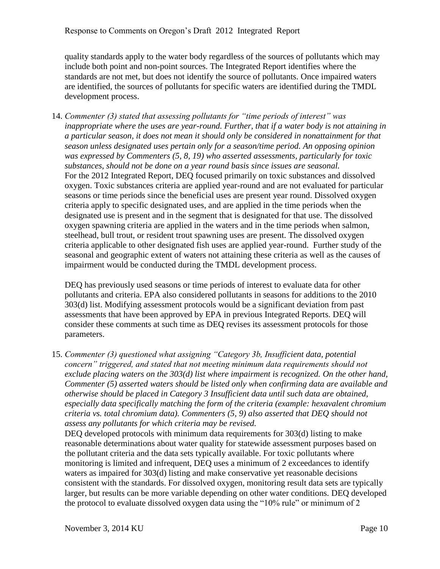quality standards apply to the water body regardless of the sources of pollutants which may include both point and non-point sources. The Integrated Report identifies where the standards are not met, but does not identify the source of pollutants. Once impaired waters are identified, the sources of pollutants for specific waters are identified during the TMDL development process.

14. *Commenter (3) stated that assessing pollutants for "time periods of interest" was inappropriate where the uses are year-round. Further, that if a water body is not attaining in a particular season, it does not mean it should only be considered in nonattainment for that season unless designated uses pertain only for a season/time period. An opposing opinion was expressed by Commenters (5, 8, 19) who asserted assessments, particularly for toxic substances, should not be done on a year round basis since issues are seasonal.* For the 2012 Integrated Report, DEQ focused primarily on toxic substances and dissolved oxygen. Toxic substances criteria are applied year-round and are not evaluated for particular seasons or time periods since the beneficial uses are present year round. Dissolved oxygen criteria apply to specific designated uses, and are applied in the time periods when the designated use is present and in the segment that is designated for that use. The dissolved oxygen spawning criteria are applied in the waters and in the time periods when salmon, steelhead, bull trout, or resident trout spawning uses are present. The dissolved oxygen criteria applicable to other designated fish uses are applied year-round. Further study of the seasonal and geographic extent of waters not attaining these criteria as well as the causes of impairment would be conducted during the TMDL development process.

DEQ has previously used seasons or time periods of interest to evaluate data for other pollutants and criteria. EPA also considered pollutants in seasons for additions to the 2010 303(d) list. Modifying assessment protocols would be a significant deviation from past assessments that have been approved by EPA in previous Integrated Reports. DEQ will consider these comments at such time as DEQ revises its assessment protocols for those parameters.

15. *Commenter (3) questioned what assigning "Category 3b, Insufficient data, potential concern" triggered, and stated that not meeting minimum data requirements should not exclude placing waters on the 303(d) list where impairment is recognized. On the other hand, Commenter (5) asserted waters should be listed only when confirming data are available and otherwise should be placed in Category 3 Insufficient data until such data are obtained, especially data specifically matching the form of the criteria (example: hexavalent chromium criteria vs. total chromium data). Commenters (5, 9) also asserted that DEQ should not assess any pollutants for which criteria may be revised.*

DEQ developed protocols with minimum data requirements for 303(d) listing to make reasonable determinations about water quality for statewide assessment purposes based on the pollutant criteria and the data sets typically available. For toxic pollutants where monitoring is limited and infrequent, DEQ uses a minimum of 2 exceedances to identify waters as impaired for 303(d) listing and make conservative yet reasonable decisions consistent with the standards. For dissolved oxygen, monitoring result data sets are typically larger, but results can be more variable depending on other water conditions. DEQ developed the protocol to evaluate dissolved oxygen data using the "10% rule" or minimum of 2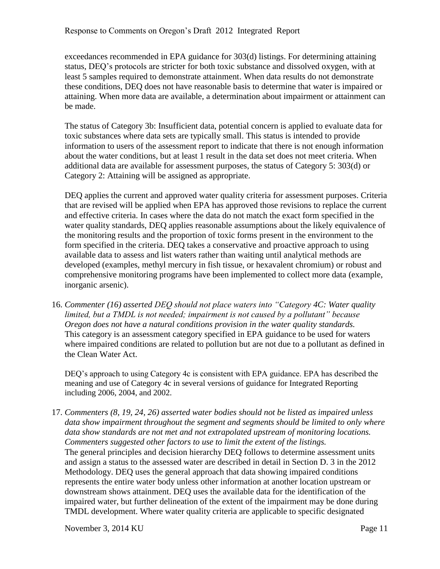exceedances recommended in EPA guidance for 303(d) listings. For determining attaining status, DEQ's protocols are stricter for both toxic substance and dissolved oxygen, with at least 5 samples required to demonstrate attainment. When data results do not demonstrate these conditions, DEQ does not have reasonable basis to determine that water is impaired or attaining. When more data are available, a determination about impairment or attainment can be made.

The status of Category 3b: Insufficient data, potential concern is applied to evaluate data for toxic substances where data sets are typically small. This status is intended to provide information to users of the assessment report to indicate that there is not enough information about the water conditions, but at least 1 result in the data set does not meet criteria. When additional data are available for assessment purposes, the status of Category 5: 303(d) or Category 2: Attaining will be assigned as appropriate.

DEQ applies the current and approved water quality criteria for assessment purposes. Criteria that are revised will be applied when EPA has approved those revisions to replace the current and effective criteria. In cases where the data do not match the exact form specified in the water quality standards, DEQ applies reasonable assumptions about the likely equivalence of the monitoring results and the proportion of toxic forms present in the environment to the form specified in the criteria. DEQ takes a conservative and proactive approach to using available data to assess and list waters rather than waiting until analytical methods are developed (examples, methyl mercury in fish tissue, or hexavalent chromium) or robust and comprehensive monitoring programs have been implemented to collect more data (example, inorganic arsenic).

16. *Commenter (16) asserted DEQ should not place waters into "Category 4C: Water quality limited, but a TMDL is not needed; impairment is not caused by a pollutant" because Oregon does not have a natural conditions provision in the water quality standards.* This category is an assessment category specified in EPA guidance to be used for waters where impaired conditions are related to pollution but are not due to a pollutant as defined in the Clean Water Act.

DEQ's approach to using Category 4c is consistent with EPA guidance. EPA has described the meaning and use of Category 4c in several versions of guidance for Integrated Reporting including 2006, 2004, and 2002.

17. *Commenters (8, 19, 24, 26) asserted water bodies should not be listed as impaired unless data show impairment throughout the segment and segments should be limited to only where data show standards are not met and not extrapolated upstream of monitoring locations. Commenters suggested other factors to use to limit the extent of the listings.* The general principles and decision hierarchy DEQ follows to determine assessment units and assign a status to the assessed water are described in detail in Section D. 3 in the 2012 Methodology. DEQ uses the general approach that data showing impaired conditions represents the entire water body unless other information at another location upstream or downstream shows attainment. DEQ uses the available data for the identification of the impaired water, but further delineation of the extent of the impairment may be done during TMDL development. Where water quality criteria are applicable to specific designated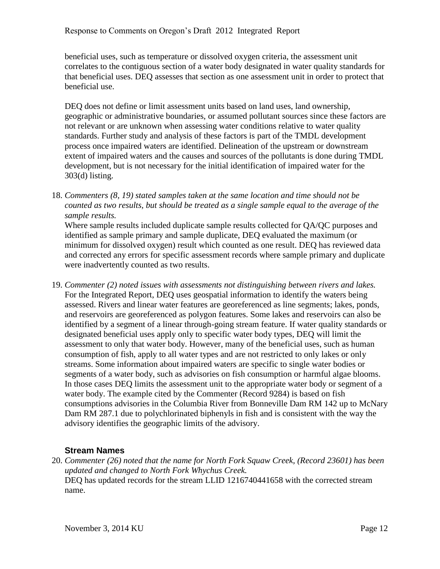beneficial uses, such as temperature or dissolved oxygen criteria, the assessment unit correlates to the contiguous section of a water body designated in water quality standards for that beneficial uses. DEQ assesses that section as one assessment unit in order to protect that beneficial use.

DEQ does not define or limit assessment units based on land uses, land ownership, geographic or administrative boundaries, or assumed pollutant sources since these factors are not relevant or are unknown when assessing water conditions relative to water quality standards. Further study and analysis of these factors is part of the TMDL development process once impaired waters are identified. Delineation of the upstream or downstream extent of impaired waters and the causes and sources of the pollutants is done during TMDL development, but is not necessary for the initial identification of impaired water for the 303(d) listing.

18. *Commenters (8, 19) stated samples taken at the same location and time should not be counted as two results, but should be treated as a single sample equal to the average of the sample results.*

Where sample results included duplicate sample results collected for QA/QC purposes and identified as sample primary and sample duplicate, DEQ evaluated the maximum (or minimum for dissolved oxygen) result which counted as one result. DEQ has reviewed data and corrected any errors for specific assessment records where sample primary and duplicate were inadvertently counted as two results.

19. *Commenter (2) noted issues with assessments not distinguishing between rivers and lakes.* For the Integrated Report, DEQ uses geospatial information to identify the waters being assessed. Rivers and linear water features are georeferenced as line segments; lakes, ponds, and reservoirs are georeferenced as polygon features. Some lakes and reservoirs can also be identified by a segment of a linear through-going stream feature. If water quality standards or designated beneficial uses apply only to specific water body types, DEQ will limit the assessment to only that water body. However, many of the beneficial uses, such as human consumption of fish, apply to all water types and are not restricted to only lakes or only streams. Some information about impaired waters are specific to single water bodies or segments of a water body, such as advisories on fish consumption or harmful algae blooms. In those cases DEQ limits the assessment unit to the appropriate water body or segment of a water body. The example cited by the Commenter (Record 9284) is based on fish consumptions advisories in the Columbia River from Bonneville Dam RM 142 up to McNary Dam RM 287.1 due to polychlorinated biphenyls in fish and is consistent with the way the advisory identifies the geographic limits of the advisory.

#### <span id="page-14-0"></span>**Stream Names**

20. *Commenter (26) noted that the name for North Fork Squaw Creek, (Record 23601) has been updated and changed to North Fork Whychus Creek.* DEQ has updated records for the stream LLID 1216740441658 with the corrected stream name.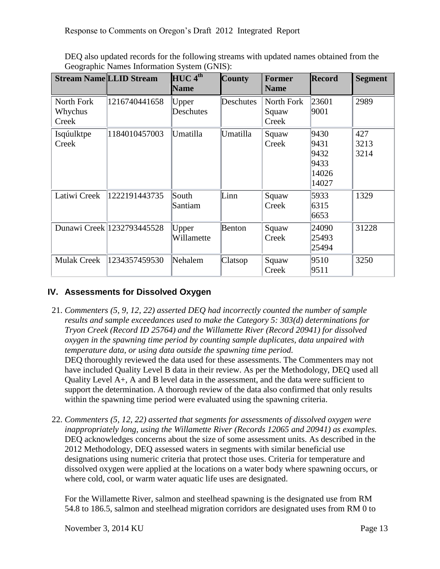|                                | <b>Stream Name LLID Stream</b> | $HUC$ <sup><math>4th</math></sup><br><b>Name</b> | <b>County</b> | <b>Former</b><br><b>Name</b> | <b>Record</b>                                  | <b>Segment</b>      |
|--------------------------------|--------------------------------|--------------------------------------------------|---------------|------------------------------|------------------------------------------------|---------------------|
| North Fork<br>Whychus<br>Creek | 1216740441658                  | Upper<br>Deschutes                               | Deschutes     | North Fork<br>Squaw<br>Creek | 23601<br>9001                                  | 2989                |
| Isqúulktpe<br>Creek            | 1184010457003                  | Umatilla                                         | Umatilla      | Squaw<br>Creek               | 9430<br>9431<br>9432<br>9433<br>14026<br>14027 | 427<br>3213<br>3214 |
| Latiwi Creek                   | 1222191443735                  | South<br>Santiam                                 | Linn          | Squaw<br>Creek               | 5933<br>6315<br>6653                           | 1329                |
|                                | Dunawi Creek 1232793445528     | Upper<br>Willamette                              | <b>Benton</b> | Squaw<br>Creek               | 24090<br>25493<br>25494                        | 31228               |
| <b>Mulak Creek</b>             | 1234357459530                  | Nehalem                                          | Clatsop       | Squaw<br>Creek               | 9510<br>9511                                   | 3250                |

DEQ also updated records for the following streams with updated names obtained from the Geographic Names Information System (GNIS):

#### <span id="page-15-0"></span>**IV. Assessments for Dissolved Oxygen**

21. *Commenters (5, 9, 12, 22) asserted DEQ had incorrectly counted the number of sample results and sample exceedances used to make the Category 5: 303(d) determinations for Tryon Creek (Record ID 25764) and the Willamette River (Record 20941) for dissolved oxygen in the spawning time period by counting sample duplicates, data unpaired with temperature data, or using data outside the spawning time period.*

DEQ thoroughly reviewed the data used for these assessments. The Commenters may not have included Quality Level B data in their review. As per the Methodology, DEQ used all Quality Level A+, A and B level data in the assessment, and the data were sufficient to support the determination. A thorough review of the data also confirmed that only results within the spawning time period were evaluated using the spawning criteria.

22. *Commenters (5, 12, 22) asserted that segments for assessments of dissolved oxygen were inappropriately long, using the Willamette River (Records 12065 and 20941) as examples.* DEQ acknowledges concerns about the size of some assessment units. As described in the 2012 Methodology, DEQ assessed waters in segments with similar beneficial use designations using numeric criteria that protect those uses. Criteria for temperature and dissolved oxygen were applied at the locations on a water body where spawning occurs, or where cold, cool, or warm water aquatic life uses are designated.

For the Willamette River, salmon and steelhead spawning is the designated use from RM 54.8 to 186.5, salmon and steelhead migration corridors are designated uses from RM 0 to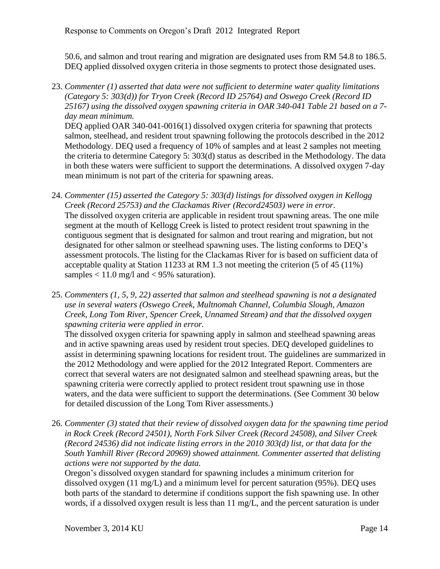50.6, and salmon and trout rearing and migration are designated uses from RM 54.8 to 186.5. DEQ applied dissolved oxygen criteria in those segments to protect those designated uses.

23. *Commenter (1) asserted that data were not sufficient to determine water quality limitations (Category 5: 303(d)) for Tryon Creek (Record ID 25764) and Oswego Creek (Record ID 25167) using the dissolved oxygen spawning criteria in OAR 340-041 Table 21 based on a 7 day mean minimum.*

DEQ applied OAR 340-041-0016(1) dissolved oxygen criteria for spawning that protects salmon, steelhead, and resident trout spawning following the protocols described in the 2012 Methodology. DEQ used a frequency of 10% of samples and at least 2 samples not meeting the criteria to determine Category 5: 303(d) status as described in the Methodology. The data in both these waters were sufficient to support the determinations. A dissolved oxygen 7-day mean minimum is not part of the criteria for spawning areas.

- 24. *Commenter (15) asserted the Category 5: 303(d) listings for dissolved oxygen in Kellogg Creek (Record 25753) and the Clackamas River (Record24503) were in error.* The dissolved oxygen criteria are applicable in resident trout spawning areas. The one mile segment at the mouth of Kellogg Creek is listed to protect resident trout spawning in the contiguous segment that is designated for salmon and trout rearing and migration, but not designated for other salmon or steelhead spawning uses. The listing conforms to DEQ's assessment protocols. The listing for the Clackamas River for is based on sufficient data of acceptable quality at Station 11233 at RM 1.3 not meeting the criterion (5 of 45 (11%) samples  $< 11.0$  mg/l and  $< 95\%$  saturation).
- 25. *Commenters (1, 5, 9, 22) asserted that salmon and steelhead spawning is not a designated use in several waters (Oswego Creek, Multnomah Channel, Columbia Slough, Amazon Creek, Long Tom River, Spencer Creek, Unnamed Stream) and that the dissolved oxygen spawning criteria were applied in error.*

The dissolved oxygen criteria for spawning apply in salmon and steelhead spawning areas and in active spawning areas used by resident trout species. DEQ developed guidelines to assist in determining spawning locations for resident trout. The guidelines are summarized in the 2012 Methodology and were applied for the 2012 Integrated Report. Commenters are correct that several waters are not designated salmon and steelhead spawning areas, but the spawning criteria were correctly applied to protect resident trout spawning use in those waters, and the data were sufficient to support the determinations. (See Comment 30 below for detailed discussion of the Long Tom River assessments.)

26. *Commenter (3) stated that their review of dissolved oxygen data for the spawning time period in Rock Creek (Record 24501), North Fork Silver Creek (Record 24508), and Silver Creek (Record 24536) did not indicate listing errors in the 2010 303(d) list, or that data for the South Yamhill River (Record 20969) showed attainment. Commenter asserted that delisting actions were not supported by the data.*

Oregon's dissolved oxygen standard for spawning includes a minimum criterion for dissolved oxygen (11 mg/L) and a minimum level for percent saturation (95%). DEQ uses both parts of the standard to determine if conditions support the fish spawning use. In other words, if a dissolved oxygen result is less than 11 mg/L, and the percent saturation is under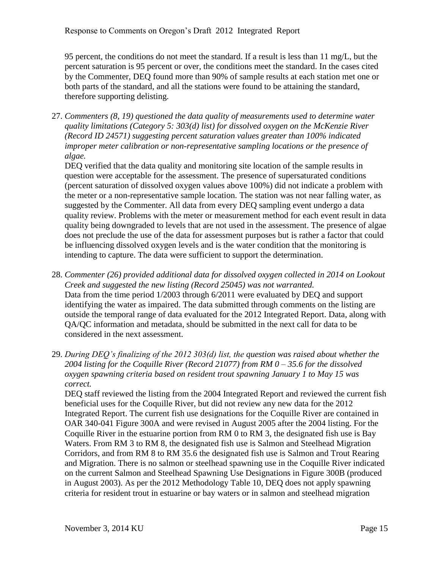95 percent, the conditions do not meet the standard. If a result is less than 11 mg/L, but the percent saturation is 95 percent or over, the conditions meet the standard. In the cases cited by the Commenter, DEQ found more than 90% of sample results at each station met one or both parts of the standard, and all the stations were found to be attaining the standard, therefore supporting delisting.

27. *Commenters (8, 19) questioned the data quality of measurements used to determine water quality limitations (Category 5: 303(d) list) for dissolved oxygen on the McKenzie River (Record ID 24571) suggesting percent saturation values greater than 100% indicated improper meter calibration or non-representative sampling locations or the presence of algae.*

DEQ verified that the data quality and monitoring site location of the sample results in question were acceptable for the assessment. The presence of supersaturated conditions (percent saturation of dissolved oxygen values above 100%) did not indicate a problem with the meter or a non-representative sample location. The station was not near falling water, as suggested by the Commenter. All data from every DEQ sampling event undergo a data quality review. Problems with the meter or measurement method for each event result in data quality being downgraded to levels that are not used in the assessment. The presence of algae does not preclude the use of the data for assessment purposes but is rather a factor that could be influencing dissolved oxygen levels and is the water condition that the monitoring is intending to capture. The data were sufficient to support the determination.

- 28. *Commenter (26) provided additional data for dissolved oxygen collected in 2014 on Lookout Creek and suggested the new listing (Record 25045) was not warranted.* Data from the time period 1/2003 through 6/2011 were evaluated by DEQ and support identifying the water as impaired. The data submitted through comments on the listing are outside the temporal range of data evaluated for the 2012 Integrated Report. Data, along with QA/QC information and metadata, should be submitted in the next call for data to be considered in the next assessment.
- 29. *During DEQ's finalizing of the 2012 303(d) list, the question was raised about whether the 2004 listing for the Coquille River (Record 21077) from RM 0 – 35.6 for the dissolved oxygen spawning criteria based on resident trout spawning January 1 to May 15 was correct.*

DEQ staff reviewed the listing from the 2004 Integrated Report and reviewed the current fish beneficial uses for the Coquille River, but did not review any new data for the 2012 Integrated Report. The current fish use designations for the Coquille River are contained in OAR 340-041 Figure 300A and were revised in August 2005 after the 2004 listing. For the Coquille River in the estuarine portion from RM 0 to RM 3, the designated fish use is Bay Waters. From RM 3 to RM 8, the designated fish use is Salmon and Steelhead Migration Corridors, and from RM 8 to RM 35.6 the designated fish use is Salmon and Trout Rearing and Migration. There is no salmon or steelhead spawning use in the Coquille River indicated on the current Salmon and Steelhead Spawning Use Designations in Figure 300B (produced in August 2003). As per the 2012 Methodology Table 10, DEQ does not apply spawning criteria for resident trout in estuarine or bay waters or in salmon and steelhead migration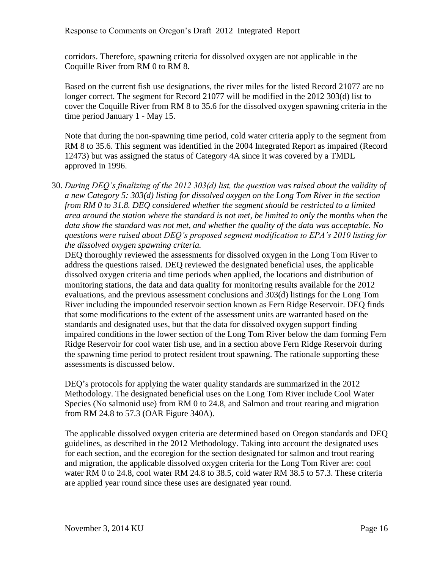corridors. Therefore, spawning criteria for dissolved oxygen are not applicable in the Coquille River from RM 0 to RM 8.

Based on the current fish use designations, the river miles for the listed Record 21077 are no longer correct. The segment for Record 21077 will be modified in the 2012 303(d) list to cover the Coquille River from RM 8 to 35.6 for the dissolved oxygen spawning criteria in the time period January 1 - May 15.

Note that during the non-spawning time period, cold water criteria apply to the segment from RM 8 to 35.6. This segment was identified in the 2004 Integrated Report as impaired (Record 12473) but was assigned the status of Category 4A since it was covered by a TMDL approved in 1996.

30. *During DEQ's finalizing of the 2012 303(d) list, the question was raised about the validity of a new Category 5: 303(d) listing for dissolved oxygen on the Long Tom River in the section from RM 0 to 31.8. DEQ considered whether the segment should be restricted to a limited area around the station where the standard is not met, be limited to only the months when the data show the standard was not met, and whether the quality of the data was acceptable. No questions were raised about DEQ's proposed segment modification to EPA's 2010 listing for the dissolved oxygen spawning criteria.*

DEQ thoroughly reviewed the assessments for dissolved oxygen in the Long Tom River to address the questions raised. DEQ reviewed the designated beneficial uses, the applicable dissolved oxygen criteria and time periods when applied, the locations and distribution of monitoring stations, the data and data quality for monitoring results available for the 2012 evaluations, and the previous assessment conclusions and 303(d) listings for the Long Tom River including the impounded reservoir section known as Fern Ridge Reservoir. DEQ finds that some modifications to the extent of the assessment units are warranted based on the standards and designated uses, but that the data for dissolved oxygen support finding impaired conditions in the lower section of the Long Tom River below the dam forming Fern Ridge Reservoir for cool water fish use, and in a section above Fern Ridge Reservoir during the spawning time period to protect resident trout spawning. The rationale supporting these assessments is discussed below.

DEQ's protocols for applying the water quality standards are summarized in the 2012 Methodology. The designated beneficial uses on the Long Tom River include Cool Water Species (No salmonid use) from RM 0 to 24.8, and Salmon and trout rearing and migration from RM 24.8 to 57.3 (OAR Figure 340A).

The applicable dissolved oxygen criteria are determined based on Oregon standards and DEQ guidelines, as described in the 2012 Methodology. Taking into account the designated uses for each section, and the ecoregion for the section designated for salmon and trout rearing and migration, the applicable dissolved oxygen criteria for the Long Tom River are: cool water RM 0 to 24.8, cool water RM 24.8 to 38.5, cold water RM 38.5 to 57.3. These criteria are applied year round since these uses are designated year round.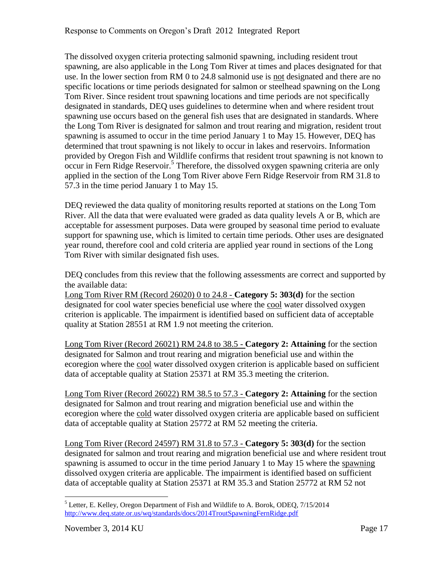The dissolved oxygen criteria protecting salmonid spawning, including resident trout spawning, are also applicable in the Long Tom River at times and places designated for that use. In the lower section from RM 0 to 24.8 salmonid use is not designated and there are no specific locations or time periods designated for salmon or steelhead spawning on the Long Tom River. Since resident trout spawning locations and time periods are not specifically designated in standards, DEQ uses guidelines to determine when and where resident trout spawning use occurs based on the general fish uses that are designated in standards. Where the Long Tom River is designated for salmon and trout rearing and migration, resident trout spawning is assumed to occur in the time period January 1 to May 15. However, DEQ has determined that trout spawning is not likely to occur in lakes and reservoirs. Information provided by Oregon Fish and Wildlife confirms that resident trout spawning is not known to occur in Fern Ridge Reservoir.<sup>5</sup> Therefore, the dissolved oxygen spawning criteria are only applied in the section of the Long Tom River above Fern Ridge Reservoir from RM 31.8 to 57.3 in the time period January 1 to May 15.

DEQ reviewed the data quality of monitoring results reported at stations on the Long Tom River. All the data that were evaluated were graded as data quality levels A or B, which are acceptable for assessment purposes. Data were grouped by seasonal time period to evaluate support for spawning use, which is limited to certain time periods. Other uses are designated year round, therefore cool and cold criteria are applied year round in sections of the Long Tom River with similar designated fish uses.

DEQ concludes from this review that the following assessments are correct and supported by the available data:

Long Tom River RM (Record 26020) 0 to 24.8 - **Category 5: 303(d)** for the section designated for cool water species beneficial use where the cool water dissolved oxygen criterion is applicable. The impairment is identified based on sufficient data of acceptable quality at Station 28551 at RM 1.9 not meeting the criterion.

Long Tom River (Record 26021) RM 24.8 to 38.5 - **Category 2: Attaining** for the section designated for Salmon and trout rearing and migration beneficial use and within the ecoregion where the cool water dissolved oxygen criterion is applicable based on sufficient data of acceptable quality at Station 25371 at RM 35.3 meeting the criterion.

Long Tom River (Record 26022) RM 38.5 to 57.3 - **Category 2: Attaining** for the section designated for Salmon and trout rearing and migration beneficial use and within the ecoregion where the cold water dissolved oxygen criteria are applicable based on sufficient data of acceptable quality at Station 25772 at RM 52 meeting the criteria.

Long Tom River (Record 24597) RM 31.8 to 57.3 - **Category 5: 303(d)** for the section designated for salmon and trout rearing and migration beneficial use and where resident trout spawning is assumed to occur in the time period January 1 to May 15 where the spawning dissolved oxygen criteria are applicable. The impairment is identified based on sufficient data of acceptable quality at Station 25371 at RM 35.3 and Station 25772 at RM 52 not

 $\overline{a}$ <sup>5</sup> Letter, E. Kelley, Oregon Department of Fish and Wildlife to A. Borok, ODEQ, 7/15/2014 <http://www.deq.state.or.us/wq/standards/docs/2014TroutSpawningFernRidge.pdf>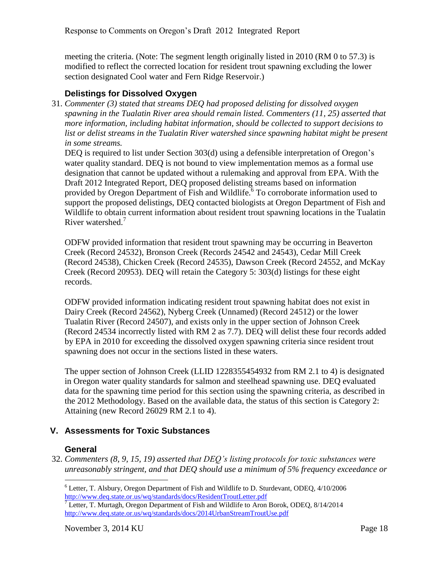meeting the criteria. (Note: The segment length originally listed in 2010 (RM 0 to 57.3) is modified to reflect the corrected location for resident trout spawning excluding the lower section designated Cool water and Fern Ridge Reservoir.)

#### <span id="page-20-0"></span>**Delistings for Dissolved Oxygen**

31. *Commenter (3) stated that streams DEQ had proposed delisting for dissolved oxygen spawning in the Tualatin River area should remain listed. Commenters (11, 25) asserted that more information, including habitat information, should be collected to support decisions to*  list or delist streams in the Tualatin River watershed since spawning habitat might be present *in some streams.*

DEQ is required to list under Section 303(d) using a defensible interpretation of Oregon's water quality standard. DEQ is not bound to view implementation memos as a formal use designation that cannot be updated without a rulemaking and approval from EPA. With the Draft 2012 Integrated Report, DEQ proposed delisting streams based on information provided by Oregon Department of Fish and Wildlife.<sup>6</sup> To corroborate information used to support the proposed delistings, DEQ contacted biologists at Oregon Department of Fish and Wildlife to obtain current information about resident trout spawning locations in the Tualatin River watershed.<sup>7</sup>

ODFW provided information that resident trout spawning may be occurring in Beaverton Creek (Record 24532), Bronson Creek (Records 24542 and 24543), Cedar Mill Creek (Record 24538), Chicken Creek (Record 24535), Dawson Creek (Record 24552, and McKay Creek (Record 20953). DEQ will retain the Category 5: 303(d) listings for these eight records.

ODFW provided information indicating resident trout spawning habitat does not exist in Dairy Creek (Record 24562), Nyberg Creek (Unnamed) (Record 24512) or the lower Tualatin River (Record 24507), and exists only in the upper section of Johnson Creek (Record 24534 incorrectly listed with RM 2 as 7.7). DEQ will delist these four records added by EPA in 2010 for exceeding the dissolved oxygen spawning criteria since resident trout spawning does not occur in the sections listed in these waters.

The upper section of Johnson Creek (LLID 1228355454932 from RM 2.1 to 4) is designated in Oregon water quality standards for salmon and steelhead spawning use. DEQ evaluated data for the spawning time period for this section using the spawning criteria, as described in the 2012 Methodology. Based on the available data, the status of this section is Category 2: Attaining (new Record 26029 RM 2.1 to 4).

#### <span id="page-20-1"></span>**V. Assessments for Toxic Substances**

#### **General**

 $\overline{a}$ 

<span id="page-20-2"></span>32. *Commenters (8, 9, 15, 19) asserted that DEQ's listing protocols for toxic substances were unreasonably stringent, and that DEQ should use a minimum of 5% frequency exceedance or* 

<sup>6</sup> Letter, T. Alsbury, Oregon Department of Fish and Wildlife to D. Sturdevant, ODEQ, 4/10/2006 <http://www.deq.state.or.us/wq/standards/docs/ResidentTroutLetter.pdf>

 $7$  Letter, T. Murtagh, Oregon Department of Fish and Wildlife to Aron Borok, ODEQ,  $8/14/2014$ <http://www.deq.state.or.us/wq/standards/docs/2014UrbanStreamTroutUse.pdf>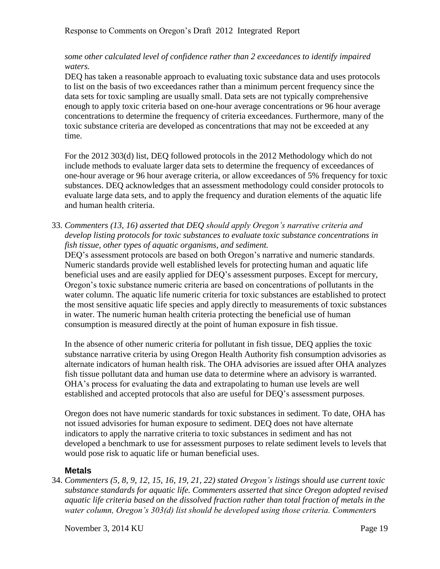#### *some other calculated level of confidence rather than 2 exceedances to identify impaired waters.*

DEQ has taken a reasonable approach to evaluating toxic substance data and uses protocols to list on the basis of two exceedances rather than a minimum percent frequency since the data sets for toxic sampling are usually small. Data sets are not typically comprehensive enough to apply toxic criteria based on one-hour average concentrations or 96 hour average concentrations to determine the frequency of criteria exceedances. Furthermore, many of the toxic substance criteria are developed as concentrations that may not be exceeded at any time.

For the 2012 303(d) list, DEQ followed protocols in the 2012 Methodology which do not include methods to evaluate larger data sets to determine the frequency of exceedances of one-hour average or 96 hour average criteria, or allow exceedances of 5% frequency for toxic substances. DEQ acknowledges that an assessment methodology could consider protocols to evaluate large data sets, and to apply the frequency and duration elements of the aquatic life and human health criteria.

33. *Commenters (13, 16) asserted that DEQ should apply Oregon's narrative criteria and develop listing protocols for toxic substances to evaluate toxic substance concentrations in fish tissue, other types of aquatic organisms, and sediment.*

DEQ's assessment protocols are based on both Oregon's narrative and numeric standards. Numeric standards provide well established levels for protecting human and aquatic life beneficial uses and are easily applied for DEQ's assessment purposes. Except for mercury, Oregon's toxic substance numeric criteria are based on concentrations of pollutants in the water column. The aquatic life numeric criteria for toxic substances are established to protect the most sensitive aquatic life species and apply directly to measurements of toxic substances in water. The numeric human health criteria protecting the beneficial use of human consumption is measured directly at the point of human exposure in fish tissue.

In the absence of other numeric criteria for pollutant in fish tissue, DEQ applies the toxic substance narrative criteria by using Oregon Health Authority fish consumption advisories as alternate indicators of human health risk. The OHA advisories are issued after OHA analyzes fish tissue pollutant data and human use data to determine where an advisory is warranted. OHA's process for evaluating the data and extrapolating to human use levels are well established and accepted protocols that also are useful for DEQ's assessment purposes.

Oregon does not have numeric standards for toxic substances in sediment. To date, OHA has not issued advisories for human exposure to sediment. DEQ does not have alternate indicators to apply the narrative criteria to toxic substances in sediment and has not developed a benchmark to use for assessment purposes to relate sediment levels to levels that would pose risk to aquatic life or human beneficial uses.

#### <span id="page-21-0"></span>**Metals**

34. *Commenters (5, 8, 9, 12, 15, 16, 19, 21, 22) stated Oregon's listings should use current toxic substance standards for aquatic life. Commenters asserted that since Oregon adopted revised aquatic life criteria based on the dissolved fraction rather than total fraction of metals in the water column, Oregon's 303(d) list should be developed using those criteria. Commenters*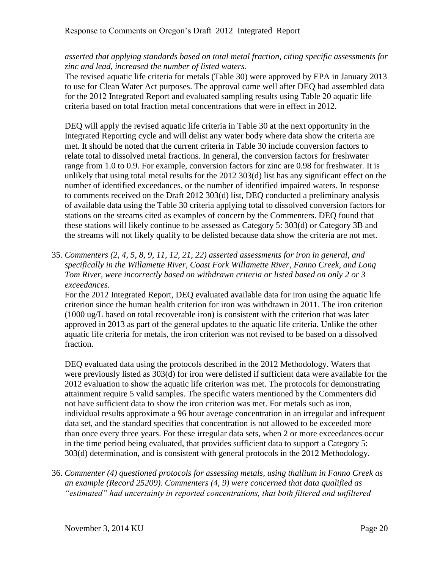#### *asserted that applying standards based on total metal fraction, citing specific assessments for zinc and lead, increased the number of listed waters.*

The revised aquatic life criteria for metals (Table 30) were approved by EPA in January 2013 to use for Clean Water Act purposes. The approval came well after DEQ had assembled data for the 2012 Integrated Report and evaluated sampling results using Table 20 aquatic life criteria based on total fraction metal concentrations that were in effect in 2012.

DEQ will apply the revised aquatic life criteria in Table 30 at the next opportunity in the Integrated Reporting cycle and will delist any water body where data show the criteria are met. It should be noted that the current criteria in Table 30 include conversion factors to relate total to dissolved metal fractions. In general, the conversion factors for freshwater range from 1.0 to 0.9. For example, conversion factors for zinc are 0.98 for freshwater. It is unlikely that using total metal results for the 2012 303(d) list has any significant effect on the number of identified exceedances, or the number of identified impaired waters. In response to comments received on the Draft 2012 303(d) list, DEQ conducted a preliminary analysis of available data using the Table 30 criteria applying total to dissolved conversion factors for stations on the streams cited as examples of concern by the Commenters. DEQ found that these stations will likely continue to be assessed as Category 5: 303(d) or Category 3B and the streams will not likely qualify to be delisted because data show the criteria are not met.

35. *Commenters (2, 4, 5, 8, 9, 11, 12, 21, 22) asserted assessments for iron in general, and specifically in the Willamette River, Coast Fork Willamette River, Fanno Creek, and Long Tom River, were incorrectly based on withdrawn criteria or listed based on only 2 or 3 exceedances.*

For the 2012 Integrated Report, DEQ evaluated available data for iron using the aquatic life criterion since the human health criterion for iron was withdrawn in 2011. The iron criterion (1000 ug/L based on total recoverable iron) is consistent with the criterion that was later approved in 2013 as part of the general updates to the aquatic life criteria. Unlike the other aquatic life criteria for metals, the iron criterion was not revised to be based on a dissolved fraction.

DEQ evaluated data using the protocols described in the 2012 Methodology. Waters that were previously listed as 303(d) for iron were delisted if sufficient data were available for the 2012 evaluation to show the aquatic life criterion was met. The protocols for demonstrating attainment require 5 valid samples. The specific waters mentioned by the Commenters did not have sufficient data to show the iron criterion was met. For metals such as iron, individual results approximate a 96 hour average concentration in an irregular and infrequent data set, and the standard specifies that concentration is not allowed to be exceeded more than once every three years. For these irregular data sets, when 2 or more exceedances occur in the time period being evaluated, that provides sufficient data to support a Category 5: 303(d) determination, and is consistent with general protocols in the 2012 Methodology.

36. *Commenter (4) questioned protocols for assessing metals, using thallium in Fanno Creek as an example (Record 25209). Commenters (4, 9) were concerned that data qualified as "estimated" had uncertainty in reported concentrations, that both filtered and unfiltered*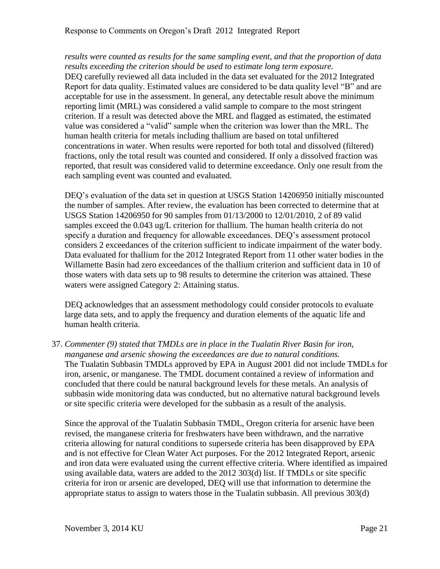*results were counted as results for the same sampling event, and that the proportion of data results exceeding the criterion should be used to estimate long term exposure.* DEQ carefully reviewed all data included in the data set evaluated for the 2012 Integrated Report for data quality. Estimated values are considered to be data quality level "B" and are acceptable for use in the assessment. In general, any detectable result above the minimum reporting limit (MRL) was considered a valid sample to compare to the most stringent criterion. If a result was detected above the MRL and flagged as estimated, the estimated value was considered a "valid" sample when the criterion was lower than the MRL. The human health criteria for metals including thallium are based on total unfiltered concentrations in water. When results were reported for both total and dissolved (filtered) fractions, only the total result was counted and considered. If only a dissolved fraction was reported, that result was considered valid to determine exceedance. Only one result from the each sampling event was counted and evaluated.

DEQ's evaluation of the data set in question at USGS Station 14206950 initially miscounted the number of samples. After review, the evaluation has been corrected to determine that at USGS Station 14206950 for 90 samples from 01/13/2000 to 12/01/2010, 2 of 89 valid samples exceed the 0.043 ug/L criterion for thallium. The human health criteria do not specify a duration and frequency for allowable exceedances. DEQ's assessment protocol considers 2 exceedances of the criterion sufficient to indicate impairment of the water body. Data evaluated for thallium for the 2012 Integrated Report from 11 other water bodies in the Willamette Basin had zero exceedances of the thallium criterion and sufficient data in 10 of those waters with data sets up to 98 results to determine the criterion was attained. These waters were assigned Category 2: Attaining status.

DEQ acknowledges that an assessment methodology could consider protocols to evaluate large data sets, and to apply the frequency and duration elements of the aquatic life and human health criteria.

37. *Commenter (9) stated that TMDLs are in place in the Tualatin River Basin for iron, manganese and arsenic showing the exceedances are due to natural conditions.* The Tualatin Subbasin TMDLs approved by EPA in August 2001 did not include TMDLs for iron, arsenic, or manganese. The TMDL document contained a review of information and concluded that there could be natural background levels for these metals. An analysis of subbasin wide monitoring data was conducted, but no alternative natural background levels or site specific criteria were developed for the subbasin as a result of the analysis.

Since the approval of the Tualatin Subbasin TMDL, Oregon criteria for arsenic have been revised, the manganese criteria for freshwaters have been withdrawn, and the narrative criteria allowing for natural conditions to supersede criteria has been disapproved by EPA and is not effective for Clean Water Act purposes. For the 2012 Integrated Report, arsenic and iron data were evaluated using the current effective criteria. Where identified as impaired using available data, waters are added to the 2012 303(d) list. If TMDLs or site specific criteria for iron or arsenic are developed, DEQ will use that information to determine the appropriate status to assign to waters those in the Tualatin subbasin. All previous 303(d)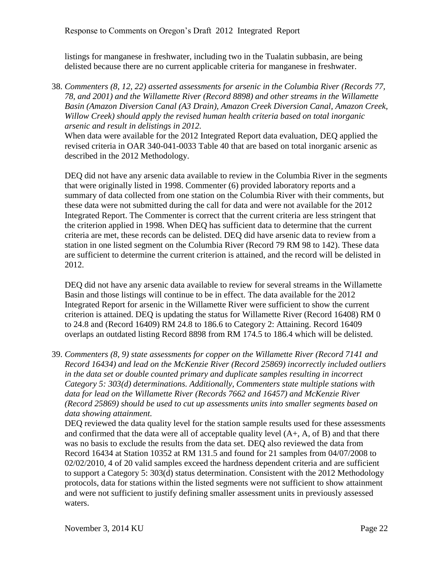listings for manganese in freshwater, including two in the Tualatin subbasin, are being delisted because there are no current applicable criteria for manganese in freshwater.

38. *Commenters (8, 12, 22) asserted assessments for arsenic in the Columbia River (Records 77, 78, and 2001) and the Willamette River (Record 8898) and other streams in the Willamette Basin (Amazon Diversion Canal (A3 Drain), Amazon Creek Diversion Canal, Amazon Creek, Willow Creek) should apply the revised human health criteria based on total inorganic arsenic and result in delistings in 2012.*

When data were available for the 2012 Integrated Report data evaluation, DEQ applied the revised criteria in OAR 340-041-0033 Table 40 that are based on total inorganic arsenic as described in the 2012 Methodology.

DEQ did not have any arsenic data available to review in the Columbia River in the segments that were originally listed in 1998. Commenter (6) provided laboratory reports and a summary of data collected from one station on the Columbia River with their comments, but these data were not submitted during the call for data and were not available for the 2012 Integrated Report. The Commenter is correct that the current criteria are less stringent that the criterion applied in 1998. When DEQ has sufficient data to determine that the current criteria are met, these records can be delisted. DEQ did have arsenic data to review from a station in one listed segment on the Columbia River (Record 79 RM 98 to 142). These data are sufficient to determine the current criterion is attained, and the record will be delisted in 2012.

DEQ did not have any arsenic data available to review for several streams in the Willamette Basin and those listings will continue to be in effect. The data available for the 2012 Integrated Report for arsenic in the Willamette River were sufficient to show the current criterion is attained. DEQ is updating the status for Willamette River (Record 16408) RM 0 to 24.8 and (Record 16409) RM 24.8 to 186.6 to Category 2: Attaining. Record 16409 overlaps an outdated listing Record 8898 from RM 174.5 to 186.4 which will be delisted.

39. *Commenters (8, 9) state assessments for copper on the Willamette River (Record 7141 and Record 16434) and lead on the McKenzie River (Record 25869) incorrectly included outliers in the data set or double counted primary and duplicate samples resulting in incorrect Category 5: 303(d) determinations. Additionally, Commenters state multiple stations with data for lead on the Willamette River (Records 7662 and 16457) and McKenzie River (Record 25869) should be used to cut up assessments units into smaller segments based on data showing attainment.*

DEQ reviewed the data quality level for the station sample results used for these assessments and confirmed that the data were all of acceptable quality level  $(A<sub>+</sub>, A, of B)$  and that there was no basis to exclude the results from the data set. DEQ also reviewed the data from Record 16434 at Station 10352 at RM 131.5 and found for 21 samples from 04/07/2008 to 02/02/2010, 4 of 20 valid samples exceed the hardness dependent criteria and are sufficient to support a Category 5: 303(d) status determination. Consistent with the 2012 Methodology protocols, data for stations within the listed segments were not sufficient to show attainment and were not sufficient to justify defining smaller assessment units in previously assessed waters.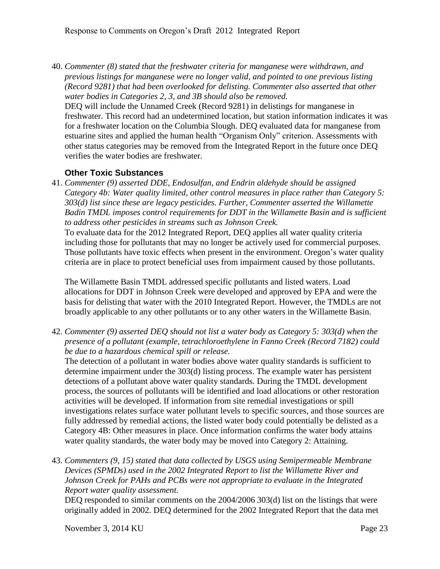40. *Commenter (8) stated that the freshwater criteria for manganese were withdrawn, and previous listings for manganese were no longer valid, and pointed to one previous listing (Record 9281) that had been overlooked for delisting. Commenter also asserted that other water bodies in Categories 2, 3, and 3B should also be removed.*

DEQ will include the Unnamed Creek (Record 9281) in delistings for manganese in freshwater. This record had an undetermined location, but station information indicates it was for a freshwater location on the Columbia Slough. DEQ evaluated data for manganese from estuarine sites and applied the human health "Organism Only" criterion. Assessments with other status categories may be removed from the Integrated Report in the future once DEQ verifies the water bodies are freshwater.

#### <span id="page-25-0"></span>**Other Toxic Substances**

41. *Commenter (9) asserted DDE, Endosulfan, and Endrin aldehyde should be assigned Category 4b: Water quality limited, other control measures in place rather than Category 5: 303(d) list since these are legacy pesticides. Further, Commenter asserted the Willamette Badin TMDL imposes control requirements for DDT in the Willamette Basin and is sufficient to address other pesticides in streams such as Johnson Creek.*

To evaluate data for the 2012 Integrated Report, DEQ applies all water quality criteria including those for pollutants that may no longer be actively used for commercial purposes. Those pollutants have toxic effects when present in the environment. Oregon's water quality criteria are in place to protect beneficial uses from impairment caused by those pollutants.

The Willamette Basin TMDL addressed specific pollutants and listed waters. Load allocations for DDT in Johnson Creek were developed and approved by EPA and were the basis for delisting that water with the 2010 Integrated Report. However, the TMDLs are not broadly applicable to any other pollutants or to any other waters in the Willamette Basin.

42. *Commenter (9) asserted DEQ should not list a water body as Category 5: 303(d) when the presence of a pollutant (example, tetrachloroethylene in Fanno Creek (Record 7182) could be due to a hazardous chemical spill or release.*

The detection of a pollutant in water bodies above water quality standards is sufficient to determine impairment under the 303(d) listing process. The example water has persistent detections of a pollutant above water quality standards. During the TMDL development process, the sources of pollutants will be identified and load allocations or other restoration activities will be developed. If information from site remedial investigations or spill investigations relates surface water pollutant levels to specific sources, and those sources are fully addressed by remedial actions, the listed water body could potentially be delisted as a Category 4B: Other measures in place. Once information confirms the water body attains water quality standards, the water body may be moved into Category 2: Attaining.

43. *Commenters (9, 15) stated that data collected by USGS using Semipermeable Membrane Devices (SPMDs) used in the 2002 Integrated Report to list the Willamette River and Johnson Creek for PAHs and PCBs were not appropriate to evaluate in the Integrated Report water quality assessment.*

DEQ responded to similar comments on the 2004/2006 303(d) list on the listings that were originally added in 2002. DEQ determined for the 2002 Integrated Report that the data met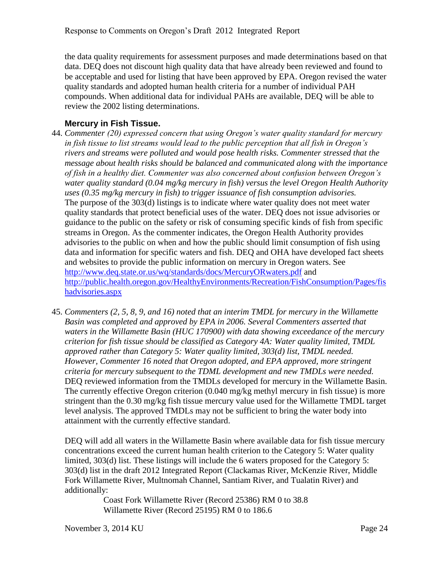the data quality requirements for assessment purposes and made determinations based on that data. DEQ does not discount high quality data that have already been reviewed and found to be acceptable and used for listing that have been approved by EPA. Oregon revised the water quality standards and adopted human health criteria for a number of individual PAH compounds. When additional data for individual PAHs are available, DEQ will be able to review the 2002 listing determinations.

#### <span id="page-26-0"></span>**Mercury in Fish Tissue.**

- 44. *Commenter (20) expressed concern that using Oregon's water quality standard for mercury in fish tissue to list streams would lead to the public perception that all fish in Oregon's rivers and streams were polluted and would pose health risks. Commenter stressed that the message about health risks should be balanced and communicated along with the importance of fish in a healthy diet. Commenter was also concerned about confusion between Oregon's water quality standard (0.04 mg/kg mercury in fish) versus the level Oregon Health Authority uses (0.35 mg/kg mercury in fish) to trigger issuance of fish consumption advisories.* The purpose of the 303(d) listings is to indicate where water quality does not meet water quality standards that protect beneficial uses of the water. DEQ does not issue advisories or guidance to the public on the safety or risk of consuming specific kinds of fish from specific streams in Oregon. As the commenter indicates, the Oregon Health Authority provides advisories to the public on when and how the public should limit consumption of fish using data and information for specific waters and fish. DEQ and OHA have developed fact sheets and websites to provide the public information on mercury in Oregon waters. See <http://www.deq.state.or.us/wq/standards/docs/MercuryORwaters.pdf> and [http://public.health.oregon.gov/HealthyEnvironments/Recreation/FishConsumption/Pages/fis](http://public.health.oregon.gov/HealthyEnvironments/Recreation/FishConsumption/Pages/fishadvisories.aspx) [hadvisories.aspx](http://public.health.oregon.gov/HealthyEnvironments/Recreation/FishConsumption/Pages/fishadvisories.aspx)
- 45. *Commenters (2, 5, 8, 9, and 16) noted that an interim TMDL for mercury in the Willamette Basin was completed and approved by EPA in 2006. Several Commenters asserted that waters in the Willamette Basin (HUC 170900) with data showing exceedance of the mercury criterion for fish tissue should be classified as Category 4A: Water quality limited, TMDL approved rather than Category 5: Water quality limited, 303(d) list, TMDL needed. However, Commenter 16 noted that Oregon adopted, and EPA approved, more stringent criteria for mercury subsequent to the TDML development and new TMDLs were needed.* DEQ reviewed information from the TMDLs developed for mercury in the Willamette Basin. The currently effective Oregon criterion (0.040 mg/kg methyl mercury in fish tissue) is more stringent than the 0.30 mg/kg fish tissue mercury value used for the Willamette TMDL target level analysis. The approved TMDLs may not be sufficient to bring the water body into attainment with the currently effective standard.

DEQ will add all waters in the Willamette Basin where available data for fish tissue mercury concentrations exceed the current human health criterion to the Category 5: Water quality limited, 303(d) list. These listings will include the 6 waters proposed for the Category 5: 303(d) list in the draft 2012 Integrated Report (Clackamas River, McKenzie River, Middle Fork Willamette River, Multnomah Channel, Santiam River, and Tualatin River) and additionally:

Coast Fork Willamette River (Record 25386) RM 0 to 38.8 Willamette River (Record 25195) RM 0 to 186.6

November 3, 2014 KU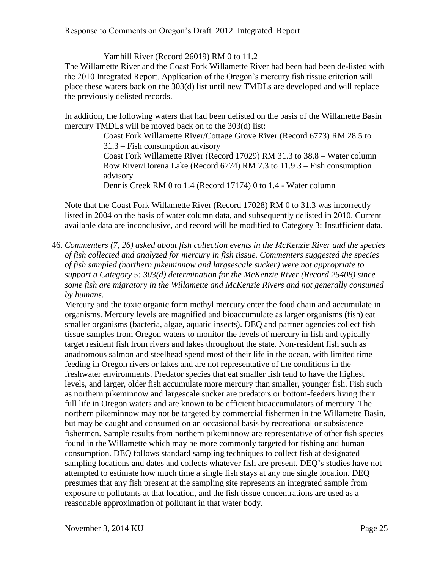Yamhill River (Record 26019) RM 0 to 11.2

The Willamette River and the Coast Fork Willamette River had been had been de-listed with the 2010 Integrated Report. Application of the Oregon's mercury fish tissue criterion will place these waters back on the 303(d) list until new TMDLs are developed and will replace the previously delisted records.

In addition, the following waters that had been delisted on the basis of the Willamette Basin mercury TMDLs will be moved back on to the 303(d) list:

> Coast Fork Willamette River/Cottage Grove River (Record 6773) RM 28.5 to 31.3 – Fish consumption advisory Coast Fork Willamette River (Record 17029) RM 31.3 to 38.8 – Water column Row River/Dorena Lake (Record 6774) RM 7.3 to 11.9 3 – Fish consumption advisory Dennis Creek RM 0 to 1.4 (Record 17174) 0 to 1.4 - Water column

Note that the Coast Fork Willamette River (Record 17028) RM 0 to 31.3 was incorrectly listed in 2004 on the basis of water column data, and subsequently delisted in 2010. Current available data are inconclusive, and record will be modified to Category 3: Insufficient data.

46. *Commenters (7, 26) asked about fish collection events in the McKenzie River and the species of fish collected and analyzed for mercury in fish tissue. Commenters suggested the species of fish sampled (northern pikeminnow and largsescale sucker) were not appropriate to support a Category 5: 303(d) determination for the McKenzie River (Record 25408) since some fish are migratory in the Willamette and McKenzie Rivers and not generally consumed by humans.*

Mercury and the toxic organic form methyl mercury enter the food chain and accumulate in organisms. Mercury levels are magnified and bioaccumulate as larger organisms (fish) eat smaller organisms (bacteria, algae, aquatic insects). DEQ and partner agencies collect fish tissue samples from Oregon waters to monitor the levels of mercury in fish and typically target resident fish from rivers and lakes throughout the state. Non-resident fish such as anadromous salmon and steelhead spend most of their life in the ocean, with limited time feeding in Oregon rivers or lakes and are not representative of the conditions in the freshwater environments. Predator species that eat smaller fish tend to have the highest levels, and larger, older fish accumulate more mercury than smaller, younger fish. Fish such as northern pikeminnow and largescale sucker are predators or bottom-feeders living their full life in Oregon waters and are known to be efficient bioaccumulators of mercury. The northern pikeminnow may not be targeted by commercial fishermen in the Willamette Basin, but may be caught and consumed on an occasional basis by recreational or subsistence fishermen. Sample results from northern pikeminnow are representative of other fish species found in the Willamette which may be more commonly targeted for fishing and human consumption. DEQ follows standard sampling techniques to collect fish at designated sampling locations and dates and collects whatever fish are present. DEQ's studies have not attempted to estimate how much time a single fish stays at any one single location. DEQ presumes that any fish present at the sampling site represents an integrated sample from exposure to pollutants at that location, and the fish tissue concentrations are used as a reasonable approximation of pollutant in that water body.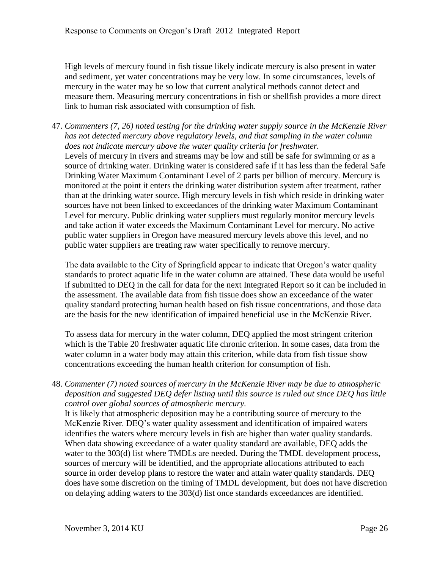High levels of mercury found in fish tissue likely indicate mercury is also present in water and sediment, yet water concentrations may be very low. In some circumstances, levels of mercury in the water may be so low that current analytical methods cannot detect and measure them. Measuring mercury concentrations in fish or shellfish provides a more direct link to human risk associated with consumption of fish.

47. *Commenters (7, 26) noted testing for the drinking water supply source in the McKenzie River has not detected mercury above regulatory levels, and that sampling in the water column does not indicate mercury above the water quality criteria for freshwater.* Levels of mercury in rivers and streams may be low and still be safe for swimming or as a source of drinking water. Drinking water is considered safe if it has less than the federal Safe Drinking Water Maximum Contaminant Level of 2 parts per billion of mercury. Mercury is monitored at the point it enters the drinking water distribution system after treatment, rather than at the drinking water source. High mercury levels in fish which reside in drinking water sources have not been linked to exceedances of the drinking water Maximum Contaminant Level for mercury. Public drinking water suppliers must regularly monitor mercury levels and take action if water exceeds the Maximum Contaminant Level for mercury. No active public water suppliers in Oregon have measured mercury levels above this level, and no public water suppliers are treating raw water specifically to remove mercury.

The data available to the City of Springfield appear to indicate that Oregon's water quality standards to protect aquatic life in the water column are attained. These data would be useful if submitted to DEQ in the call for data for the next Integrated Report so it can be included in the assessment. The available data from fish tissue does show an exceedance of the water quality standard protecting human health based on fish tissue concentrations, and those data are the basis for the new identification of impaired beneficial use in the McKenzie River.

To assess data for mercury in the water column, DEQ applied the most stringent criterion which is the Table 20 freshwater aquatic life chronic criterion. In some cases, data from the water column in a water body may attain this criterion, while data from fish tissue show concentrations exceeding the human health criterion for consumption of fish.

48. *Commenter (7) noted sources of mercury in the McKenzie River may be due to atmospheric deposition and suggested DEQ defer listing until this source is ruled out since DEQ has little control over global sources of atmospheric mercury.*

It is likely that atmospheric deposition may be a contributing source of mercury to the McKenzie River. DEQ's water quality assessment and identification of impaired waters identifies the waters where mercury levels in fish are higher than water quality standards. When data showing exceedance of a water quality standard are available, DEQ adds the water to the 303(d) list where TMDLs are needed. During the TMDL development process, sources of mercury will be identified, and the appropriate allocations attributed to each source in order develop plans to restore the water and attain water quality standards. DEQ does have some discretion on the timing of TMDL development, but does not have discretion on delaying adding waters to the 303(d) list once standards exceedances are identified.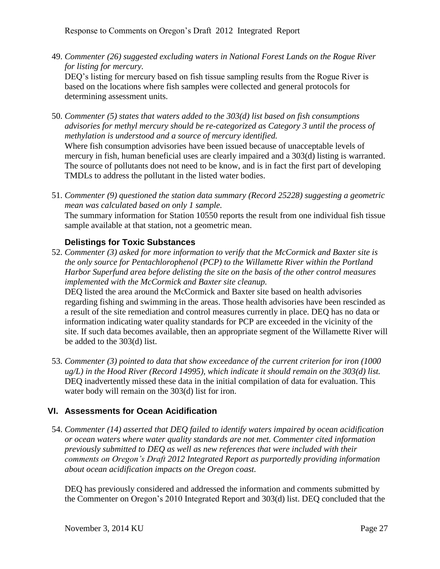49. *Commenter (26) suggested excluding waters in National Forest Lands on the Rogue River for listing for mercury.*

DEQ's listing for mercury based on fish tissue sampling results from the Rogue River is based on the locations where fish samples were collected and general protocols for determining assessment units.

50. *Commenter (5) states that waters added to the 303(d) list based on fish consumptions advisories for methyl mercury should be re-categorized as Category 3 until the process of methylation is understood and a source of mercury identified.*

Where fish consumption advisories have been issued because of unacceptable levels of mercury in fish, human beneficial uses are clearly impaired and a 303(d) listing is warranted. The source of pollutants does not need to be know, and is in fact the first part of developing TMDLs to address the pollutant in the listed water bodies.

51. *Commenter (9) questioned the station data summary (Record 25228) suggesting a geometric mean was calculated based on only 1 sample.*

The summary information for Station 10550 reports the result from one individual fish tissue sample available at that station, not a geometric mean.

#### <span id="page-29-0"></span>**Delistings for Toxic Substances**

52. *Commenter (3) asked for more information to verify that the McCormick and Baxter site is the only source for Pentachlorophenol (PCP) to the Willamette River within the Portland Harbor Superfund area before delisting the site on the basis of the other control measures implemented with the McCormick and Baxter site cleanup.*

DEQ listed the area around the McCormick and Baxter site based on health advisories regarding fishing and swimming in the areas. Those health advisories have been rescinded as a result of the site remediation and control measures currently in place. DEQ has no data or information indicating water quality standards for PCP are exceeded in the vicinity of the site. If such data becomes available, then an appropriate segment of the Willamette River will be added to the 303(d) list.

53. *Commenter (3) pointed to data that show exceedance of the current criterion for iron (1000 ug/L) in the Hood River (Record 14995), which indicate it should remain on the 303(d) list.* DEQ inadvertently missed these data in the initial compilation of data for evaluation. This water body will remain on the 303(d) list for iron.

#### <span id="page-29-1"></span>**VI. Assessments for Ocean Acidification**

54. *Commenter (14) asserted that DEQ failed to identify waters impaired by ocean acidification or ocean waters where water quality standards are not met. Commenter cited information previously submitted to DEQ as well as new references that were included with their comments on Oregon's Draft 2012 Integrated Report as purportedly providing information about ocean acidification impacts on the Oregon coast.*

DEQ has previously considered and addressed the information and comments submitted by the Commenter on Oregon's 2010 Integrated Report and 303(d) list. DEQ concluded that the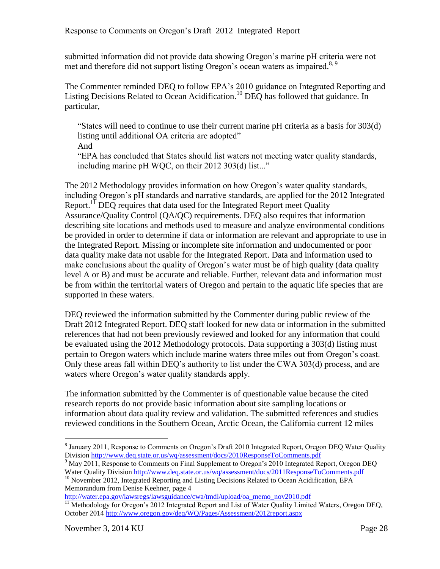submitted information did not provide data showing Oregon's marine pH criteria were not met and therefore did not support listing Oregon's ocean waters as impaired.<sup>8, 9</sup>

The Commenter reminded DEQ to follow EPA's 2010 guidance on Integrated Reporting and Listing Decisions Related to Ocean Acidification.<sup>10</sup> DEQ has followed that guidance. In particular,

"States will need to continue to use their current marine pH criteria as a basis for 303(d) listing until additional OA criteria are adopted"

And

"EPA has concluded that States should list waters not meeting water quality standards, including marine pH WQC, on their 2012 303(d) list..."

The 2012 Methodology provides information on how Oregon's water quality standards, including Oregon's pH standards and narrative standards, are applied for the 2012 Integrated Report.<sup>11</sup> DEQ requires that data used for the Integrated Report meet Quality Assurance/Quality Control (QA/QC) requirements. DEQ also requires that information describing site locations and methods used to measure and analyze environmental conditions be provided in order to determine if data or information are relevant and appropriate to use in the Integrated Report. Missing or incomplete site information and undocumented or poor data quality make data not usable for the Integrated Report. Data and information used to make conclusions about the quality of Oregon's water must be of high quality (data quality level A or B) and must be accurate and reliable. Further, relevant data and information must be from within the territorial waters of Oregon and pertain to the aquatic life species that are supported in these waters.

DEQ reviewed the information submitted by the Commenter during public review of the Draft 2012 Integrated Report. DEQ staff looked for new data or information in the submitted references that had not been previously reviewed and looked for any information that could be evaluated using the 2012 Methodology protocols. Data supporting a 303(d) listing must pertain to Oregon waters which include marine waters three miles out from Oregon's coast. Only these areas fall within DEQ's authority to list under the CWA 303(d) process, and are waters where Oregon's water quality standards apply.

The information submitted by the Commenter is of questionable value because the cited research reports do not provide basic information about site sampling locations or information about data quality review and validation. The submitted references and studies reviewed conditions in the Southern Ocean, Arctic Ocean, the California current 12 miles

[http://water.epa.gov/lawsregs/lawsguidance/cwa/tmdl/upload/oa\\_memo\\_nov2010.pdf](http://water.epa.gov/lawsregs/lawsguidance/cwa/tmdl/upload/oa_memo_nov2010.pdf)

<sup>&</sup>lt;sup>8</sup> January 2011, Response to Comments on Oregon's Draft 2010 Integrated Report, Oregon DEQ Water Quality Division<http://www.deq.state.or.us/wq/assessment/docs/2010ResponseToComments.pdf>

<sup>&</sup>lt;sup>9</sup> May 2011, Response to Comments on Final Supplement to Oregon's 2010 Integrated Report, Oregon DEO Water Quality Division<http://www.deq.state.or.us/wq/assessment/docs/2011ResponseToComments.pdf>

<sup>&</sup>lt;sup>10</sup> November 2012, Integrated Reporting and Listing Decisions Related to Ocean Acidification, EPA Memorandum from Denise Keehner, page 4

<sup>&</sup>lt;sup>11</sup> Methodology for Oregon's 2012 Integrated Report and List of Water Quality Limited Waters, Oregon DEQ, October 2014<http://www.oregon.gov/deq/WQ/Pages/Assessment/2012report.aspx>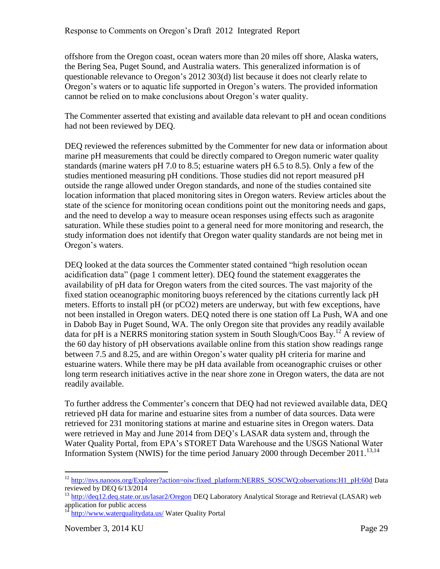offshore from the Oregon coast, ocean waters more than 20 miles off shore, Alaska waters, the Bering Sea, Puget Sound, and Australia waters. This generalized information is of questionable relevance to Oregon's 2012 303(d) list because it does not clearly relate to Oregon's waters or to aquatic life supported in Oregon's waters. The provided information cannot be relied on to make conclusions about Oregon's water quality.

The Commenter asserted that existing and available data relevant to pH and ocean conditions had not been reviewed by DEQ.

DEQ reviewed the references submitted by the Commenter for new data or information about marine pH measurements that could be directly compared to Oregon numeric water quality standards (marine waters pH 7.0 to 8.5; estuarine waters pH 6.5 to 8.5). Only a few of the studies mentioned measuring pH conditions. Those studies did not report measured pH outside the range allowed under Oregon standards, and none of the studies contained site location information that placed monitoring sites in Oregon waters. Review articles about the state of the science for monitoring ocean conditions point out the monitoring needs and gaps, and the need to develop a way to measure ocean responses using effects such as aragonite saturation. While these studies point to a general need for more monitoring and research, the study information does not identify that Oregon water quality standards are not being met in Oregon's waters.

DEQ looked at the data sources the Commenter stated contained "high resolution ocean acidification data" (page 1 comment letter). DEQ found the statement exaggerates the availability of pH data for Oregon waters from the cited sources. The vast majority of the fixed station oceanographic monitoring buoys referenced by the citations currently lack pH meters. Efforts to install pH (or pCO2) meters are underway, but with few exceptions, have not been installed in Oregon waters. DEQ noted there is one station off La Push, WA and one in Dabob Bay in Puget Sound, WA. The only Oregon site that provides any readily available data for pH is a NERRS monitoring station system in South Slough/Coos Bay. <sup>12</sup> A review of the 60 day history of pH observations available online from this station show readings range between 7.5 and 8.25, and are within Oregon's water quality pH criteria for marine and estuarine waters. While there may be pH data available from oceanographic cruises or other long term research initiatives active in the near shore zone in Oregon waters, the data are not readily available.

To further address the Commenter's concern that DEQ had not reviewed available data, DEQ retrieved pH data for marine and estuarine sites from a number of data sources. Data were retrieved for 231 monitoring stations at marine and estuarine sites in Oregon waters. Data were retrieved in May and June 2014 from DEQ's LASAR data system and, through the Water Quality Portal, from EPA's STORET Data Warehouse and the USGS National Water Information System (NWIS) for the time period January 2000 through December 2011.<sup>13,14</sup>

<sup>&</sup>lt;sup>12</sup> [http://nvs.nanoos.org/Explorer?action=oiw:fixed\\_platform:NERRS\\_SOSCWQ:observations:H1\\_pH:60d](http://nvs.nanoos.org/Explorer?action=oiw:fixed_platform:NERRS_SOSCWQ:observations:H1_pH:60d) Data reviewed by DEQ 6/13/2014

<sup>&</sup>lt;sup>13</sup> <http://deq12.deq.state.or.us/lasar2/Oregon> DEQ Laboratory Analytical Storage and Retrieval (LASAR) web application for public access

<sup>&</sup>lt;sup>14</sup> <http://www.waterqualitydata.us/> Water Quality Portal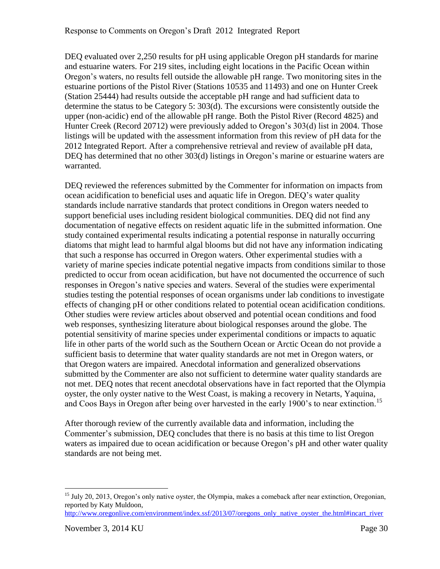DEQ evaluated over 2,250 results for pH using applicable Oregon pH standards for marine and estuarine waters. For 219 sites, including eight locations in the Pacific Ocean within Oregon's waters, no results fell outside the allowable pH range. Two monitoring sites in the estuarine portions of the Pistol River (Stations 10535 and 11493) and one on Hunter Creek (Station 25444) had results outside the acceptable pH range and had sufficient data to determine the status to be Category 5: 303(d). The excursions were consistently outside the upper (non-acidic) end of the allowable pH range. Both the Pistol River (Record 4825) and Hunter Creek (Record 20712) were previously added to Oregon's 303(d) list in 2004. Those listings will be updated with the assessment information from this review of pH data for the 2012 Integrated Report. After a comprehensive retrieval and review of available pH data, DEQ has determined that no other 303(d) listings in Oregon's marine or estuarine waters are warranted.

DEQ reviewed the references submitted by the Commenter for information on impacts from ocean acidification to beneficial uses and aquatic life in Oregon. DEQ's water quality standards include narrative standards that protect conditions in Oregon waters needed to support beneficial uses including resident biological communities. DEQ did not find any documentation of negative effects on resident aquatic life in the submitted information. One study contained experimental results indicating a potential response in naturally occurring diatoms that might lead to harmful algal blooms but did not have any information indicating that such a response has occurred in Oregon waters. Other experimental studies with a variety of marine species indicate potential negative impacts from conditions similar to those predicted to occur from ocean acidification, but have not documented the occurrence of such responses in Oregon's native species and waters. Several of the studies were experimental studies testing the potential responses of ocean organisms under lab conditions to investigate effects of changing pH or other conditions related to potential ocean acidification conditions. Other studies were review articles about observed and potential ocean conditions and food web responses, synthesizing literature about biological responses around the globe. The potential sensitivity of marine species under experimental conditions or impacts to aquatic life in other parts of the world such as the Southern Ocean or Arctic Ocean do not provide a sufficient basis to determine that water quality standards are not met in Oregon waters, or that Oregon waters are impaired. Anecdotal information and generalized observations submitted by the Commenter are also not sufficient to determine water quality standards are not met. DEQ notes that recent anecdotal observations have in fact reported that the Olympia oyster, the only oyster native to the West Coast, is making a recovery in Netarts, Yaquina, and Coos Bays in Oregon after being over harvested in the early 1900's to near extinction.<sup>15</sup>

After thorough review of the currently available data and information, including the Commenter's submission, DEQ concludes that there is no basis at this time to list Oregon waters as impaired due to ocean acidification or because Oregon's pH and other water quality standards are not being met.

[http://www.oregonlive.com/environment/index.ssf/2013/07/oregons\\_only\\_native\\_oyster\\_the.html#incart\\_river](http://www.oregonlive.com/environment/index.ssf/2013/07/oregons_only_native_oyster_the.html#incart_river)

<sup>&</sup>lt;sup>15</sup> July 20, 2013, Oregon's only native oyster, the Olympia, makes a comeback after near extinction, Oregonian, reported by Katy Muldoon,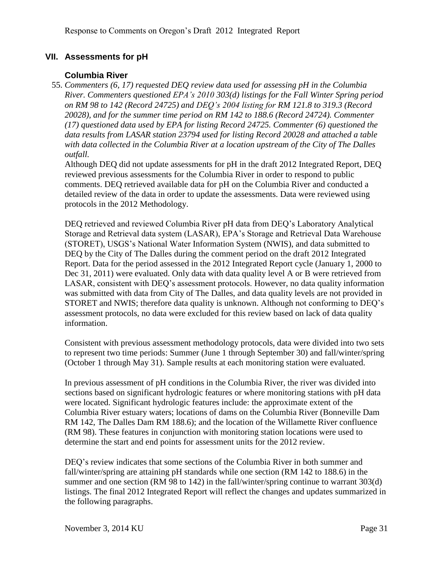#### <span id="page-33-0"></span>**VII. Assessments for pH**

#### **Columbia River**

<span id="page-33-1"></span>55. *Commenters (6, 17) requested DEQ review data used for assessing pH in the Columbia River. Commenters questioned EPA's 2010 303(d) listings for the Fall Winter Spring period on RM 98 to 142 (Record 24725) and DEQ's 2004 listing for RM 121.8 to 319.3 (Record 20028), and for the summer time period on RM 142 to 188.6 (Record 24724). Commenter (17) questioned data used by EPA for listing Record 24725. Commenter (6) questioned the data results from LASAR station 23794 used for listing Record 20028 and attached a table with data collected in the Columbia River at a location upstream of the City of The Dalles outfall.*

Although DEQ did not update assessments for pH in the draft 2012 Integrated Report, DEQ reviewed previous assessments for the Columbia River in order to respond to public comments. DEQ retrieved available data for pH on the Columbia River and conducted a detailed review of the data in order to update the assessments. Data were reviewed using protocols in the 2012 Methodology.

DEQ retrieved and reviewed Columbia River pH data from DEQ's Laboratory Analytical Storage and Retrieval data system (LASAR), EPA's Storage and Retrieval Data Warehouse (STORET), USGS's National Water Information System (NWIS), and data submitted to DEQ by the City of The Dalles during the comment period on the draft 2012 Integrated Report. Data for the period assessed in the 2012 Integrated Report cycle (January 1, 2000 to Dec 31, 2011) were evaluated. Only data with data quality level A or B were retrieved from LASAR, consistent with DEQ's assessment protocols. However, no data quality information was submitted with data from City of The Dalles, and data quality levels are not provided in STORET and NWIS; therefore data quality is unknown. Although not conforming to DEQ's assessment protocols, no data were excluded for this review based on lack of data quality information.

Consistent with previous assessment methodology protocols, data were divided into two sets to represent two time periods: Summer (June 1 through September 30) and fall/winter/spring (October 1 through May 31). Sample results at each monitoring station were evaluated.

In previous assessment of pH conditions in the Columbia River, the river was divided into sections based on significant hydrologic features or where monitoring stations with pH data were located. Significant hydrologic features include: the approximate extent of the Columbia River estuary waters; locations of dams on the Columbia River (Bonneville Dam RM 142, The Dalles Dam RM 188.6); and the location of the Willamette River confluence (RM 98). These features in conjunction with monitoring station locations were used to determine the start and end points for assessment units for the 2012 review.

DEQ's review indicates that some sections of the Columbia River in both summer and fall/winter/spring are attaining pH standards while one section (RM 142 to 188.6) in the summer and one section (RM 98 to 142) in the fall/winter/spring continue to warrant 303(d) listings. The final 2012 Integrated Report will reflect the changes and updates summarized in the following paragraphs.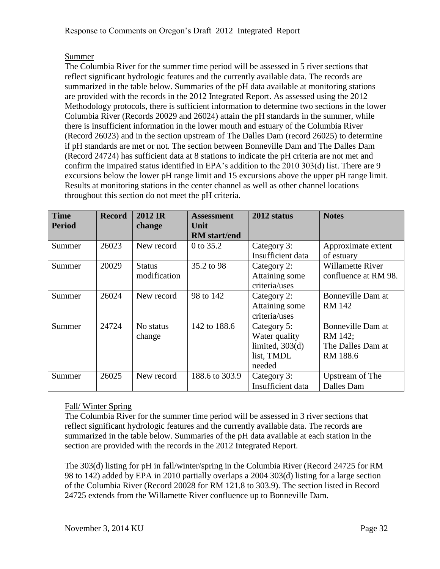#### Summer

The Columbia River for the summer time period will be assessed in 5 river sections that reflect significant hydrologic features and the currently available data. The records are summarized in the table below. Summaries of the pH data available at monitoring stations are provided with the records in the 2012 Integrated Report. As assessed using the 2012 Methodology protocols, there is sufficient information to determine two sections in the lower Columbia River (Records 20029 and 26024) attain the pH standards in the summer, while there is insufficient information in the lower mouth and estuary of the Columbia River (Record 26023) and in the section upstream of The Dalles Dam (record 26025) to determine if pH standards are met or not. The section between Bonneville Dam and The Dalles Dam (Record 24724) has sufficient data at 8 stations to indicate the pH criteria are not met and confirm the impaired status identified in EPA's addition to the 2010 303(d) list. There are 9 excursions below the lower pH range limit and 15 excursions above the upper pH range limit. Results at monitoring stations in the center channel as well as other channel locations throughout this section do not meet the pH criteria.

| <b>Time</b><br><b>Period</b> | <b>Record</b> | 2012 IR<br>change             | <b>Assessment</b><br>Unit<br><b>RM</b> start/end | 2012 status                                                               | <b>Notes</b>                                                  |
|------------------------------|---------------|-------------------------------|--------------------------------------------------|---------------------------------------------------------------------------|---------------------------------------------------------------|
| Summer                       | 26023         | New record                    | 0 to 35.2                                        | Category 3:<br>Insufficient data                                          | Approximate extent<br>of estuary                              |
| Summer                       | 20029         | <b>Status</b><br>modification | 35.2 to 98                                       | Category 2:<br>Attaining some<br>criteria/uses                            | <b>Willamette River</b><br>confluence at RM 98.               |
| Summer                       | 26024         | New record                    | 98 to 142                                        | Category 2:<br>Attaining some<br>criteria/uses                            | Bonneville Dam at<br><b>RM 142</b>                            |
| Summer                       | 24724         | No status<br>change           | 142 to 188.6                                     | Category 5:<br>Water quality<br>limited, $303(d)$<br>list, TMDL<br>needed | Bonneville Dam at<br>RM 142;<br>The Dalles Dam at<br>RM 188.6 |
| Summer                       | 26025         | New record                    | 188.6 to 303.9                                   | Category 3:<br>Insufficient data                                          | Upstream of The<br>Dalles Dam                                 |

#### Fall/ Winter Spring

The Columbia River for the summer time period will be assessed in 3 river sections that reflect significant hydrologic features and the currently available data. The records are summarized in the table below. Summaries of the pH data available at each station in the section are provided with the records in the 2012 Integrated Report.

The 303(d) listing for pH in fall/winter/spring in the Columbia River (Record 24725 for RM 98 to 142) added by EPA in 2010 partially overlaps a 2004 303(d) listing for a large section of the Columbia River (Record 20028 for RM 121.8 to 303.9). The section listed in Record 24725 extends from the Willamette River confluence up to Bonneville Dam.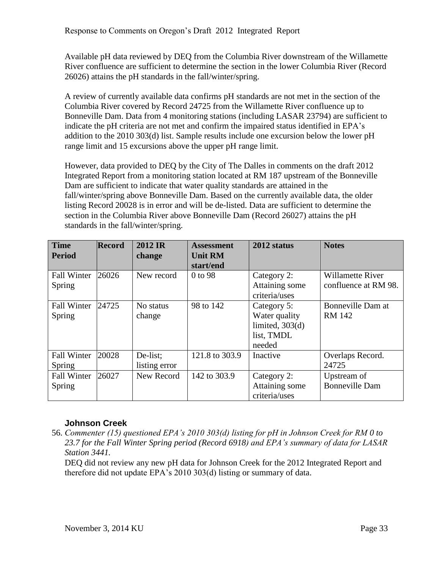Available pH data reviewed by DEQ from the Columbia River downstream of the Willamette River confluence are sufficient to determine the section in the lower Columbia River (Record 26026) attains the pH standards in the fall/winter/spring.

A review of currently available data confirms pH standards are not met in the section of the Columbia River covered by Record 24725 from the Willamette River confluence up to Bonneville Dam. Data from 4 monitoring stations (including LASAR 23794) are sufficient to indicate the pH criteria are not met and confirm the impaired status identified in EPA's addition to the 2010 303(d) list. Sample results include one excursion below the lower pH range limit and 15 excursions above the upper pH range limit.

However, data provided to DEQ by the City of The Dalles in comments on the draft 2012 Integrated Report from a monitoring station located at RM 187 upstream of the Bonneville Dam are sufficient to indicate that water quality standards are attained in the fall/winter/spring above Bonneville Dam. Based on the currently available data, the older listing Record 20028 is in error and will be de-listed. Data are sufficient to determine the section in the Columbia River above Bonneville Dam (Record 26027) attains the pH standards in the fall/winter/spring.

| <b>Time</b><br><b>Period</b> | <b>Record</b> | 2012 IR<br>change | <b>Assessment</b><br><b>Unit RM</b><br>start/end | 2012 status       | <b>Notes</b>            |
|------------------------------|---------------|-------------------|--------------------------------------------------|-------------------|-------------------------|
| <b>Fall Winter</b>           | 26026         | New record        | 0 to 98                                          | Category 2:       | <b>Willamette River</b> |
| Spring                       |               |                   |                                                  | Attaining some    | confluence at RM 98.    |
|                              |               |                   |                                                  | criteria/uses     |                         |
| <b>Fall Winter</b>           | 24725         | No status         | 98 to 142                                        | Category 5:       | Bonneville Dam at       |
| Spring                       |               | change            |                                                  | Water quality     | <b>RM 142</b>           |
|                              |               |                   |                                                  | limited, $303(d)$ |                         |
|                              |               |                   |                                                  | list, TMDL        |                         |
|                              |               |                   |                                                  | needed            |                         |
| <b>Fall Winter</b>           | 20028         | De-list;          | 121.8 to 303.9                                   | Inactive          | Overlaps Record.        |
| Spring                       |               | listing error     |                                                  |                   | 24725                   |
| <b>Fall Winter</b>           | 26027         | New Record        | 142 to 303.9                                     | Category 2:       | Upstream of             |
| Spring                       |               |                   |                                                  | Attaining some    | <b>Bonneville Dam</b>   |
|                              |               |                   |                                                  | criteria/uses     |                         |

#### <span id="page-35-0"></span>**Johnson Creek**

56. *Commenter (15) questioned EPA's 2010 303(d) listing for pH in Johnson Creek for RM 0 to 23.7 for the Fall Winter Spring period (Record 6918) and EPA's summary of data for LASAR Station 3441.*

DEQ did not review any new pH data for Johnson Creek for the 2012 Integrated Report and therefore did not update EPA's 2010 303(d) listing or summary of data.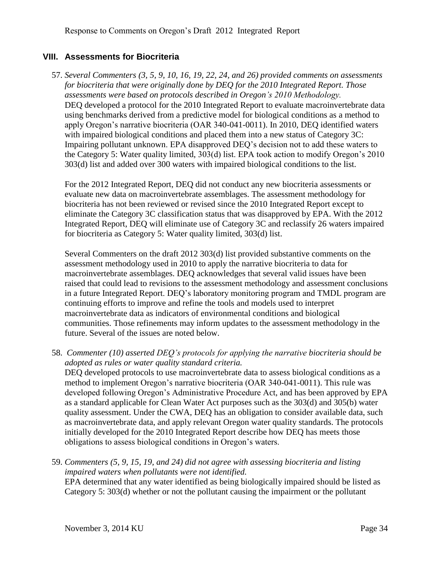#### <span id="page-36-0"></span>**VIII. Assessments for Biocriteria**

57. *Several Commenters (3, 5, 9, 10, 16, 19, 22, 24, and 26) provided comments on assessments for biocriteria that were originally done by DEQ for the 2010 Integrated Report. Those assessments were based on protocols described in Oregon's 2010 Methodology.* DEQ developed a protocol for the 2010 Integrated Report to evaluate macroinvertebrate data using benchmarks derived from a predictive model for biological conditions as a method to apply Oregon's narrative biocriteria (OAR 340-041-0011). In 2010, DEQ identified waters with impaired biological conditions and placed them into a new status of Category 3C: Impairing pollutant unknown. EPA disapproved DEQ's decision not to add these waters to the Category 5: Water quality limited, 303(d) list. EPA took action to modify Oregon's 2010 303(d) list and added over 300 waters with impaired biological conditions to the list.

For the 2012 Integrated Report, DEQ did not conduct any new biocriteria assessments or evaluate new data on macroinvertebrate assemblages. The assessment methodology for biocriteria has not been reviewed or revised since the 2010 Integrated Report except to eliminate the Category 3C classification status that was disapproved by EPA. With the 2012 Integrated Report, DEQ will eliminate use of Category 3C and reclassify 26 waters impaired for biocriteria as Category 5: Water quality limited, 303(d) list.

Several Commenters on the draft 2012 303(d) list provided substantive comments on the assessment methodology used in 2010 to apply the narrative biocriteria to data for macroinvertebrate assemblages. DEQ acknowledges that several valid issues have been raised that could lead to revisions to the assessment methodology and assessment conclusions in a future Integrated Report. DEQ's laboratory monitoring program and TMDL program are continuing efforts to improve and refine the tools and models used to interpret macroinvertebrate data as indicators of environmental conditions and biological communities. Those refinements may inform updates to the assessment methodology in the future. Several of the issues are noted below.

- 58. *Commenter (10) asserted DEQ's protocols for applying the narrative biocriteria should be adopted as rules or water quality standard criteria.* DEQ developed protocols to use macroinvertebrate data to assess biological conditions as a method to implement Oregon's narrative biocriteria (OAR 340-041-0011). This rule was developed following Oregon's Administrative Procedure Act, and has been approved by EPA as a standard applicable for Clean Water Act purposes such as the 303(d) and 305(b) water quality assessment. Under the CWA, DEQ has an obligation to consider available data, such as macroinvertebrate data, and apply relevant Oregon water quality standards. The protocols initially developed for the 2010 Integrated Report describe how DEQ has meets those obligations to assess biological conditions in Oregon's waters.
- 59. *Commenters (5, 9, 15, 19, and 24) did not agree with assessing biocriteria and listing impaired waters when pollutants were not identified.* EPA determined that any water identified as being biologically impaired should be listed as Category 5: 303(d) whether or not the pollutant causing the impairment or the pollutant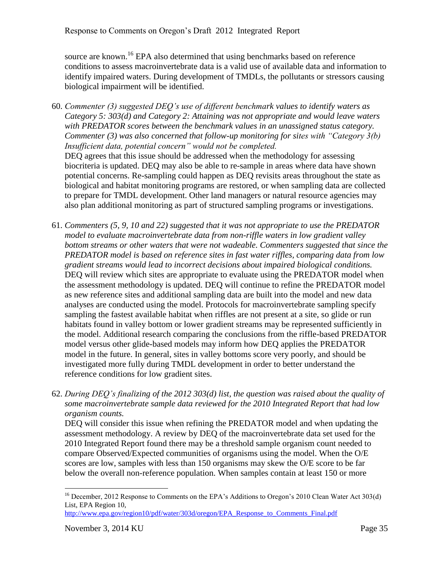source are known.<sup>16</sup> EPA also determined that using benchmarks based on reference conditions to assess macroinvertebrate data is a valid use of available data and information to identify impaired waters. During development of TMDLs, the pollutants or stressors causing biological impairment will be identified.

- 60. *Commenter (3) suggested DEQ's use of different benchmark values to identify waters as Category 5: 303(d) and Category 2: Attaining was not appropriate and would leave waters with PREDATOR scores between the benchmark values in an unassigned status category. Commenter (3) was also concerned that follow-up monitoring for sites with "Category 3(b) Insufficient data, potential concern" would not be completed.* DEQ agrees that this issue should be addressed when the methodology for assessing biocriteria is updated. DEQ may also be able to re-sample in areas where data have shown potential concerns. Re-sampling could happen as DEQ revisits areas throughout the state as biological and habitat monitoring programs are restored, or when sampling data are collected to prepare for TMDL development. Other land managers or natural resource agencies may also plan additional monitoring as part of structured sampling programs or investigations.
- 61. *Commenters (5, 9, 10 and 22) suggested that it was not appropriate to use the PREDATOR model to evaluate macroinvertebrate data from non-riffle waters in low gradient valley bottom streams or other waters that were not wadeable. Commenters suggested that since the PREDATOR model is based on reference sites in fast water riffles, comparing data from low gradient streams would lead to incorrect decisions about impaired biological conditions.* DEQ will review which sites are appropriate to evaluate using the PREDATOR model when the assessment methodology is updated. DEQ will continue to refine the PREDATOR model as new reference sites and additional sampling data are built into the model and new data analyses are conducted using the model. Protocols for macroinvertebrate sampling specify sampling the fastest available habitat when riffles are not present at a site, so glide or run habitats found in valley bottom or lower gradient streams may be represented sufficiently in the model. Additional research comparing the conclusions from the riffle-based PREDATOR model versus other glide-based models may inform how DEQ applies the PREDATOR model in the future. In general, sites in valley bottoms score very poorly, and should be investigated more fully during TMDL development in order to better understand the reference conditions for low gradient sites.
- 62. *During DEQ's finalizing of the 2012 303(d) list, the question was raised about the quality of some macroinvertebrate sample data reviewed for the 2010 Integrated Report that had low organism counts.*

DEQ will consider this issue when refining the PREDATOR model and when updating the assessment methodology. A review by DEQ of the macroinvertebrate data set used for the 2010 Integrated Report found there may be a threshold sample organism count needed to compare Observed/Expected communities of organisms using the model. When the O/E scores are low, samples with less than 150 organisms may skew the O/E score to be far below the overall non-reference population. When samples contain at least 150 or more

<sup>&</sup>lt;sup>16</sup> December, 2012 Response to Comments on the EPA's Additions to Oregon's 2010 Clean Water Act 303(d) List, EPA Region 10,

[http://www.epa.gov/region10/pdf/water/303d/oregon/EPA\\_Response\\_to\\_Comments\\_Final.pdf](http://www.epa.gov/region10/pdf/water/303d/oregon/EPA_Response_to_Comments_Final.pdf)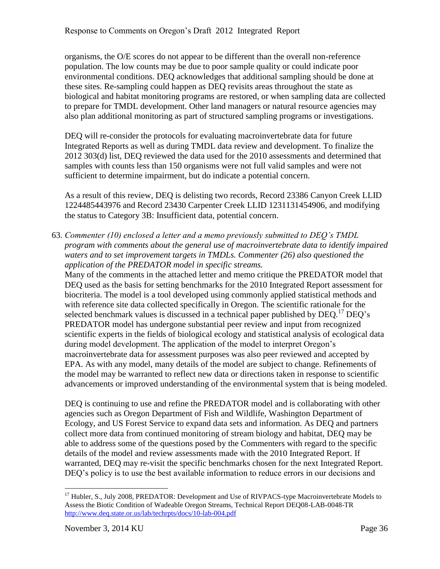organisms, the O/E scores do not appear to be different than the overall non-reference population. The low counts may be due to poor sample quality or could indicate poor environmental conditions. DEQ acknowledges that additional sampling should be done at these sites. Re-sampling could happen as DEQ revisits areas throughout the state as biological and habitat monitoring programs are restored, or when sampling data are collected to prepare for TMDL development. Other land managers or natural resource agencies may also plan additional monitoring as part of structured sampling programs or investigations.

DEQ will re-consider the protocols for evaluating macroinvertebrate data for future Integrated Reports as well as during TMDL data review and development. To finalize the 2012 303(d) list, DEQ reviewed the data used for the 2010 assessments and determined that samples with counts less than 150 organisms were not full valid samples and were not sufficient to determine impairment, but do indicate a potential concern.

As a result of this review, DEQ is delisting two records, Record 23386 Canyon Creek LLID 1224485443976 and Record 23430 Carpenter Creek LLID 1231131454906, and modifying the status to Category 3B: Insufficient data, potential concern.

63. *Commenter (10) enclosed a letter and a memo previously submitted to DEQ's TMDL program with comments about the general use of macroinvertebrate data to identify impaired waters and to set improvement targets in TMDLs. Commenter (26) also questioned the application of the PREDATOR model in specific streams.*

Many of the comments in the attached letter and memo critique the PREDATOR model that DEQ used as the basis for setting benchmarks for the 2010 Integrated Report assessment for biocriteria. The model is a tool developed using commonly applied statistical methods and with reference site data collected specifically in Oregon. The scientific rationale for the selected benchmark values is discussed in a technical paper published by  $DEO<sup>17</sup>DEO's$ PREDATOR model has undergone substantial peer review and input from recognized scientific experts in the fields of biological ecology and statistical analysis of ecological data during model development. The application of the model to interpret Oregon's macroinvertebrate data for assessment purposes was also peer reviewed and accepted by EPA. As with any model, many details of the model are subject to change. Refinements of the model may be warranted to reflect new data or directions taken in response to scientific advancements or improved understanding of the environmental system that is being modeled.

DEQ is continuing to use and refine the PREDATOR model and is collaborating with other agencies such as Oregon Department of Fish and Wildlife, Washington Department of Ecology, and US Forest Service to expand data sets and information. As DEQ and partners collect more data from continued monitoring of stream biology and habitat, DEQ may be able to address some of the questions posed by the Commenters with regard to the specific details of the model and review assessments made with the 2010 Integrated Report. If warranted, DEQ may re-visit the specific benchmarks chosen for the next Integrated Report. DEQ's policy is to use the best available information to reduce errors in our decisions and

 $\overline{a}$ <sup>17</sup> Hubler, S., July 2008, PREDATOR: Development and Use of RIVPACS-type Macroinvertebrate Models to Assess the Biotic Condition of Wadeable Oregon Streams, Technical Report DEQ08-LAB-0048-TR <http://www.deq.state.or.us/lab/techrpts/docs/10-lab-004.pdf>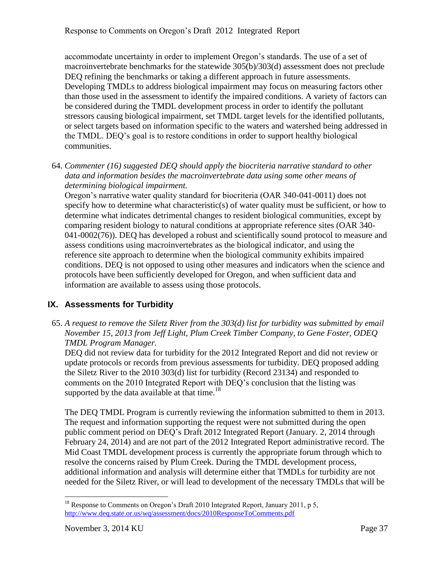accommodate uncertainty in order to implement Oregon's standards. The use of a set of macroinvertebrate benchmarks for the statewide 305(b)/303(d) assessment does not preclude DEQ refining the benchmarks or taking a different approach in future assessments. Developing TMDLs to address biological impairment may focus on measuring factors other than those used in the assessment to identify the impaired conditions. A variety of factors can be considered during the TMDL development process in order to identify the pollutant stressors causing biological impairment, set TMDL target levels for the identified pollutants, or select targets based on information specific to the waters and watershed being addressed in the TMDL. DEQ's goal is to restore conditions in order to support healthy biological communities.

64. *Commenter (16) suggested DEQ should apply the biocriteria narrative standard to other data and information besides the macroinvertebrate data using some other means of determining biological impairment.*

Oregon's narrative water quality standard for biocriteria (OAR 340-041-0011) does not specify how to determine what characteristic(s) of water quality must be sufficient, or how to determine what indicates detrimental changes to resident biological communities, except by comparing resident biology to natural conditions at appropriate reference sites (OAR 340- 041-0002(76)). DEQ has developed a robust and scientifically sound protocol to measure and assess conditions using macroinvertebrates as the biological indicator, and using the reference site approach to determine when the biological community exhibits impaired conditions. DEQ is not opposed to using other measures and indicators when the science and protocols have been sufficiently developed for Oregon, and when sufficient data and information are available to assess using those protocols.

#### <span id="page-39-0"></span>**IX. Assessments for Turbidity**

65. *A request to remove the Siletz River from the 303(d) list for turbidity was submitted by email November 15, 2013 from Jeff Light, Plum Creek Timber Company, to Gene Foster, ODEQ TMDL Program Manager.*

DEQ did not review data for turbidity for the 2012 Integrated Report and did not review or update protocols or records from previous assessments for turbidity. DEQ proposed adding the Siletz River to the 2010 303(d) list for turbidity (Record 23134) and responded to comments on the 2010 Integrated Report with DEQ's conclusion that the listing was supported by the data available at that time.<sup>18</sup>

The DEQ TMDL Program is currently reviewing the information submitted to them in 2013. The request and information supporting the request were not submitted during the open public comment period on DEQ's Draft 2012 Integrated Report (January. 2, 2014 through February 24, 2014) and are not part of the 2012 Integrated Report administrative record. The Mid Coast TMDL development process is currently the appropriate forum through which to resolve the concerns raised by Plum Creek. During the TMDL development process, additional information and analysis will determine either that TMDLs for turbidity are not needed for the Siletz River, or will lead to development of the necessary TMDLs that will be

 $\overline{a}$ <sup>18</sup> Response to Comments on Oregon's Draft 2010 Integrated Report, January 2011, p 5, <http://www.deq.state.or.us/wq/assessment/docs/2010ResponseToComments.pdf>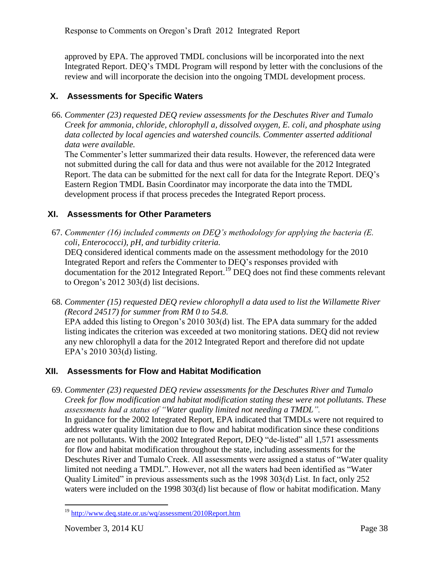approved by EPA. The approved TMDL conclusions will be incorporated into the next Integrated Report. DEQ's TMDL Program will respond by letter with the conclusions of the review and will incorporate the decision into the ongoing TMDL development process.

#### <span id="page-40-0"></span>**X. Assessments for Specific Waters**

66. *Commenter (23) requested DEQ review assessments for the Deschutes River and Tumalo Creek for ammonia, chloride, chlorophyll a, dissolved oxygen, E. coli, and phosphate using data collected by local agencies and watershed councils. Commenter asserted additional data were available.*

The Commenter's letter summarized their data results. However, the referenced data were not submitted during the call for data and thus were not available for the 2012 Integrated Report. The data can be submitted for the next call for data for the Integrate Report. DEQ's Eastern Region TMDL Basin Coordinator may incorporate the data into the TMDL development process if that process precedes the Integrated Report process.

#### <span id="page-40-1"></span>**XI. Assessments for Other Parameters**

67. *Commenter (16) included comments on DEQ's methodology for applying the bacteria (E. coli, Enterococci), pH, and turbidity criteria.*

DEQ considered identical comments made on the assessment methodology for the 2010 Integrated Report and refers the Commenter to DEQ's responses provided with documentation for the 2012 Integrated Report. <sup>19</sup> DEQ does not find these comments relevant to Oregon's 2012 303(d) list decisions.

68. *Commenter (15) requested DEQ review chlorophyll a data used to list the Willamette River (Record 24517) for summer from RM 0 to 54.8.*

EPA added this listing to Oregon's 2010 303(d) list. The EPA data summary for the added listing indicates the criterion was exceeded at two monitoring stations. DEQ did not review any new chlorophyll a data for the 2012 Integrated Report and therefore did not update EPA's 2010 303(d) listing.

#### <span id="page-40-2"></span>**XII. Assessments for Flow and Habitat Modification**

69. *Commenter (23) requested DEQ review assessments for the Deschutes River and Tumalo Creek for flow modification and habitat modification stating these were not pollutants. These assessments had a status of "Water quality limited not needing a TMDL".* In guidance for the 2002 Integrated Report, EPA indicated that TMDLs were not required to address water quality limitation due to flow and habitat modification since these conditions are not pollutants. With the 2002 Integrated Report, DEQ "de-listed" all 1,571 assessments for flow and habitat modification throughout the state, including assessments for the Deschutes River and Tumalo Creek. All assessments were assigned a status of "Water quality limited not needing a TMDL". However, not all the waters had been identified as "Water Quality Limited" in previous assessments such as the 1998  $303(d)$  List. In fact, only 252 waters were included on the 1998 303(d) list because of flow or habitat modification. Many

 $\overline{a}$ <sup>19</sup> <http://www.deq.state.or.us/wq/assessment/2010Report.htm>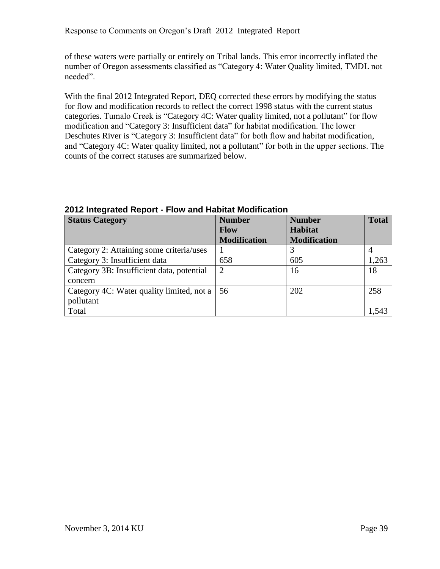of these waters were partially or entirely on Tribal lands. This error incorrectly inflated the number of Oregon assessments classified as "Category 4: Water Quality limited, TMDL not needed".

With the final 2012 Integrated Report, DEQ corrected these errors by modifying the status for flow and modification records to reflect the correct 1998 status with the current status categories. Tumalo Creek is "Category 4C: Water quality limited, not a pollutant" for flow modification and "Category 3: Insufficient data" for habitat modification. The lower Deschutes River is "Category 3: Insufficient data" for both flow and habitat modification, and "Category 4C: Water quality limited, not a pollutant" for both in the upper sections. The counts of the correct statuses are summarized below.

| <b>Status Category</b>                    | <b>Number</b>       | <b>Number</b>       | <b>Total</b> |
|-------------------------------------------|---------------------|---------------------|--------------|
|                                           | <b>Flow</b>         | <b>Habitat</b>      |              |
|                                           | <b>Modification</b> | <b>Modification</b> |              |
| Category 2: Attaining some criteria/uses  |                     |                     |              |
| Category 3: Insufficient data             | 658                 | 605                 | 1,263        |
| Category 3B: Insufficient data, potential | 2                   | 16                  | 18           |
| concern                                   |                     |                     |              |
| Category 4C: Water quality limited, not a | 56                  | 202                 | 258          |
| pollutant                                 |                     |                     |              |
| Total                                     |                     |                     | 1.543        |

**2012 Integrated Report - Flow and Habitat Modification**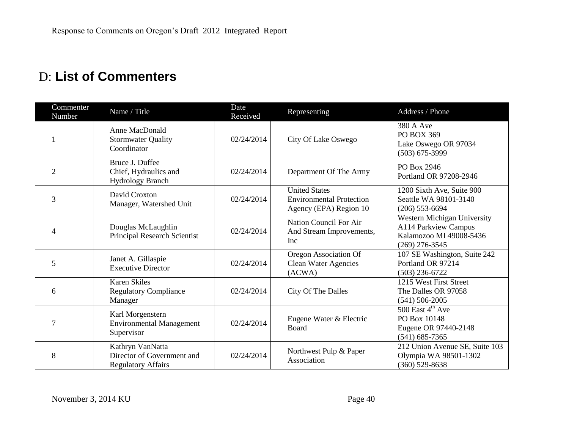# D: **List of Commenters**

<span id="page-42-0"></span>

| Commenter<br>Number | Name / Title                                                                | Date<br>Received | Representing                                                                      | Address / Phone                                                                                    |
|---------------------|-----------------------------------------------------------------------------|------------------|-----------------------------------------------------------------------------------|----------------------------------------------------------------------------------------------------|
|                     | <b>Anne MacDonald</b><br><b>Stormwater Quality</b><br>Coordinator           | 02/24/2014       | City Of Lake Oswego                                                               | 380 A Ave<br>PO BOX 369<br>Lake Oswego OR 97034<br>$(503) 675 - 3999$                              |
| $\overline{2}$      | Bruce J. Duffee<br>Chief, Hydraulics and<br><b>Hydrology Branch</b>         | 02/24/2014       | Department Of The Army                                                            | PO Box 2946<br>Portland OR 97208-2946                                                              |
| $\overline{3}$      | David Croxton<br>Manager, Watershed Unit                                    | 02/24/2014       | <b>United States</b><br><b>Environmental Protection</b><br>Agency (EPA) Region 10 | 1200 Sixth Ave, Suite 900<br>Seattle WA 98101-3140<br>$(206)$ 553-6694                             |
| 4                   | Douglas McLaughlin<br><b>Principal Research Scientist</b>                   | 02/24/2014       | Nation Council For Air<br>And Stream Improvements,<br><b>Inc</b>                  | Western Michigan University<br>A114 Parkview Campus<br>Kalamozoo MI 49008-5436<br>$(269)$ 276-3545 |
| 5                   | Janet A. Gillaspie<br><b>Executive Director</b>                             | 02/24/2014       | Oregon Association Of<br><b>Clean Water Agencies</b><br>(ACWA)                    | 107 SE Washington, Suite 242<br>Portland OR 97214<br>$(503)$ 236-6722                              |
| 6                   | <b>Karen Skiles</b><br><b>Regulatory Compliance</b><br>Manager              | 02/24/2014       | City Of The Dalles                                                                | 1215 West First Street<br>The Dalles OR 97058<br>$(541) 506 - 2005$                                |
| 7                   | Karl Morgenstern<br><b>Environmental Management</b><br>Supervisor           | 02/24/2014       | Eugene Water & Electric<br>Board                                                  | 500 East $4^{\text{th}}$ Ave<br>PO Box 10148<br>Eugene OR 97440-2148<br>$(541) 685 - 7365$         |
| 8                   | Kathryn VanNatta<br>Director of Government and<br><b>Regulatory Affairs</b> | 02/24/2014       | Northwest Pulp & Paper<br>Association                                             | 212 Union Avenue SE, Suite 103<br>Olympia WA 98501-1302<br>$(360)$ 529-8638                        |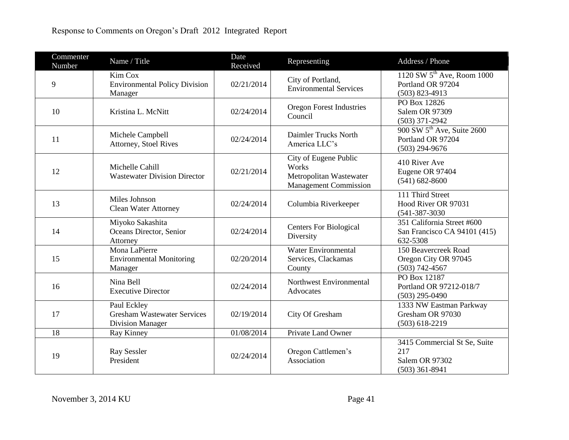| Commenter<br>Number | Name / Title                                                                 | Date<br>Received | Representing                                                                              | Address / Phone                                                                 |
|---------------------|------------------------------------------------------------------------------|------------------|-------------------------------------------------------------------------------------------|---------------------------------------------------------------------------------|
| 9                   | Kim Cox<br><b>Environmental Policy Division</b><br>Manager                   | 02/21/2014       | City of Portland,<br><b>Environmental Services</b>                                        | 1120 SW $5^{\text{th}}$ Ave, Room 1000<br>Portland OR 97204<br>$(503)$ 823-4913 |
| 10                  | Kristina L. McNitt                                                           | 02/24/2014       | <b>Oregon Forest Industries</b><br>Council                                                | PO Box 12826<br>Salem OR 97309<br>$(503)$ 371-2942                              |
| 11                  | Michele Campbell<br>Attorney, Stoel Rives                                    | 02/24/2014       | Daimler Trucks North<br>America LLC's                                                     | 900 SW 5 <sup>th</sup> Ave, Suite 2600<br>Portland OR 97204<br>$(503)$ 294-9676 |
| 12                  | Michelle Cahill<br><b>Wastewater Division Director</b>                       | 02/21/2014       | City of Eugene Public<br>Works<br>Metropolitan Wastewater<br><b>Management Commission</b> | 410 River Ave<br>Eugene OR 97404<br>$(541) 682 - 8600$                          |
| 13                  | Miles Johnson<br><b>Clean Water Attorney</b>                                 | 02/24/2014       | Columbia Riverkeeper                                                                      | 111 Third Street<br>Hood River OR 97031<br>$(541 - 387 - 3030)$                 |
| 14                  | Miyoko Sakashita<br>Oceans Director, Senior<br>Attorney                      | 02/24/2014       | <b>Centers For Biological</b><br>Diversity                                                | 351 California Street #600<br>San Francisco CA 94101 (415)<br>632-5308          |
| 15                  | Mona LaPierre<br><b>Environmental Monitoring</b><br>Manager                  | 02/20/2014       | <b>Water Environmental</b><br>Services, Clackamas<br>County                               | 150 Beavercreek Road<br>Oregon City OR 97045<br>$(503) 742 - 4567$              |
| 16                  | Nina Bell<br><b>Executive Director</b>                                       | 02/24/2014       | Northwest Environmental<br>Advocates                                                      | PO Box 12187<br>Portland OR 97212-018/7<br>$(503)$ 295-0490                     |
| 17                  | Paul Eckley<br><b>Gresham Wastewater Services</b><br><b>Division Manager</b> | 02/19/2014       | City Of Gresham                                                                           | 1333 NW Eastman Parkway<br>Gresham OR 97030<br>$(503)$ 618-2219                 |
| 18                  | Ray Kinney                                                                   | 01/08/2014       | Private Land Owner                                                                        |                                                                                 |
| 19                  | Ray Sessler<br>President                                                     | 02/24/2014       | Oregon Cattlemen's<br>Association                                                         | 3415 Commercial St Se, Suite<br>217<br>Salem OR 97302<br>$(503)$ 361-8941       |